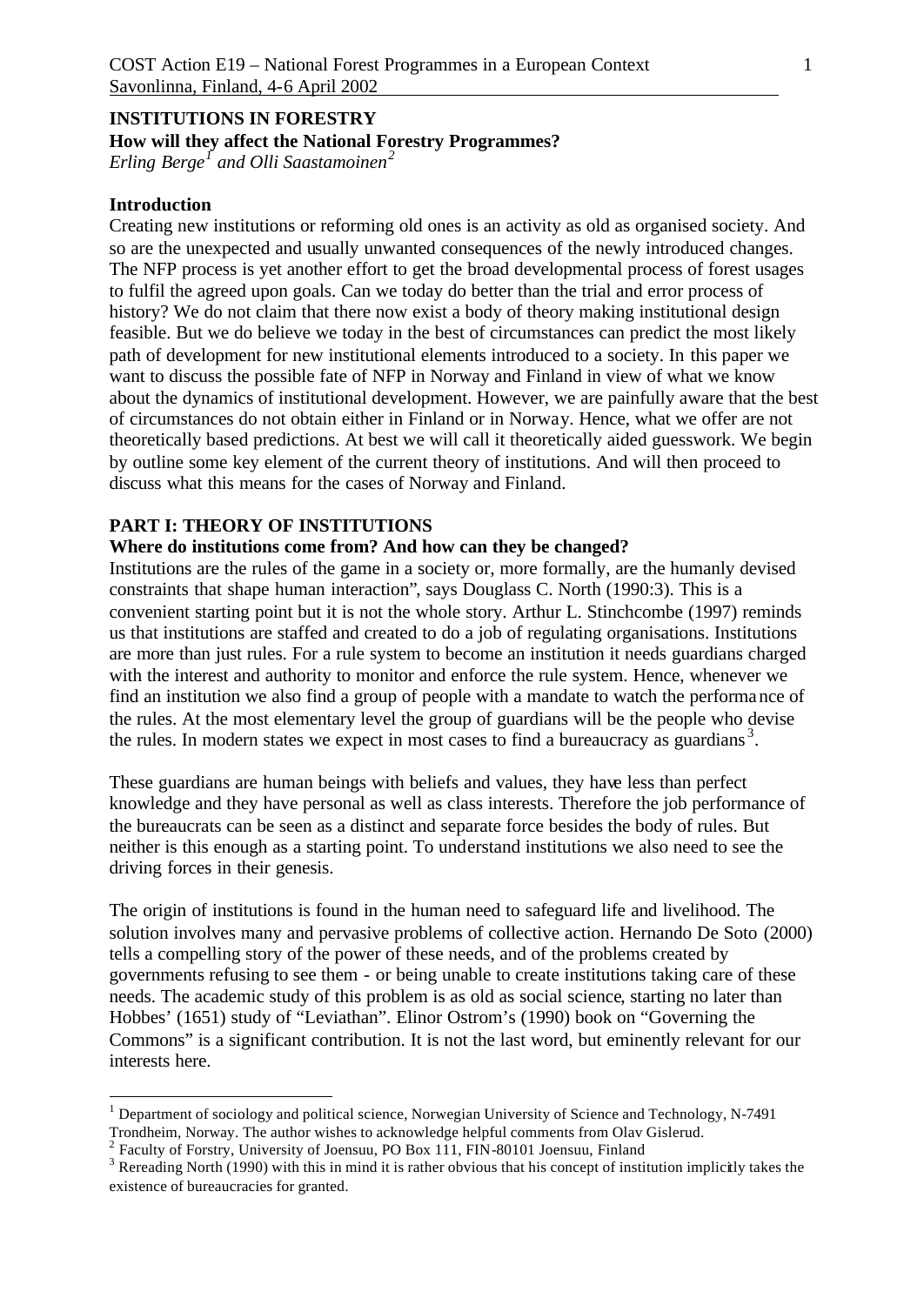# **INSTITUTIONS IN FORESTRY How will they affect the National Forestry Programmes?**

*Erling Berge<sup>1</sup> and Olli Saastamoinen<sup>2</sup>*

#### **Introduction**

l

Creating new institutions or reforming old ones is an activity as old as organised society. And so are the unexpected and usually unwanted consequences of the newly introduced changes. The NFP process is yet another effort to get the broad developmental process of forest usages to fulfil the agreed upon goals. Can we today do better than the trial and error process of history? We do not claim that there now exist a body of theory making institutional design feasible. But we do believe we today in the best of circumstances can predict the most likely path of development for new institutional elements introduced to a society. In this paper we want to discuss the possible fate of NFP in Norway and Finland in view of what we know about the dynamics of institutional development. However, we are painfully aware that the best of circumstances do not obtain either in Finland or in Norway. Hence, what we offer are not theoretically based predictions. At best we will call it theoretically aided guesswork. We begin by outline some key element of the current theory of institutions. And will then proceed to discuss what this means for the cases of Norway and Finland.

#### **PART I: THEORY OF INSTITUTIONS**

#### **Where do institutions come from? And how can they be changed?**

Institutions are the rules of the game in a society or, more formally, are the humanly devised constraints that shape human interaction", says Douglass C. North (1990:3). This is a convenient starting point but it is not the whole story. Arthur L. Stinchcombe (1997) reminds us that institutions are staffed and created to do a job of regulating organisations. Institutions are more than just rules. For a rule system to become an institution it needs guardians charged with the interest and authority to monitor and enforce the rule system. Hence, whenever we find an institution we also find a group of people with a mandate to watch the performance of the rules. At the most elementary level the group of guardians will be the people who devise the rules. In modern states we expect in most cases to find a bureaucracy as guardians<sup>3</sup>.

These guardians are human beings with beliefs and values, they have less than perfect knowledge and they have personal as well as class interests. Therefore the job performance of the bureaucrats can be seen as a distinct and separate force besides the body of rules. But neither is this enough as a starting point. To understand institutions we also need to see the driving forces in their genesis.

The origin of institutions is found in the human need to safeguard life and livelihood. The solution involves many and pervasive problems of collective action. Hernando De Soto (2000) tells a compelling story of the power of these needs, and of the problems created by governments refusing to see them - or being unable to create institutions taking care of these needs. The academic study of this problem is as old as social science, starting no later than Hobbes' (1651) study of "Leviathan". Elinor Ostrom's (1990) book on "Governing the Commons" is a significant contribution. It is not the last word, but eminently relevant for our interests here.

<sup>&</sup>lt;sup>1</sup> Department of sociology and political science, Norwegian University of Science and Technology, N-7491 Trondheim, Norway. The author wishes to acknowledge helpful comments from Olav Gislerud.<br><sup>2</sup> Faculty of Forstry, University of Joensuu, PO Box 111, FIN-80101 Joensuu, Finland

 $3$  Rereading North (1990) with this in mind it is rather obvious that his concept of institution implicitly takes the existence of bureaucracies for granted.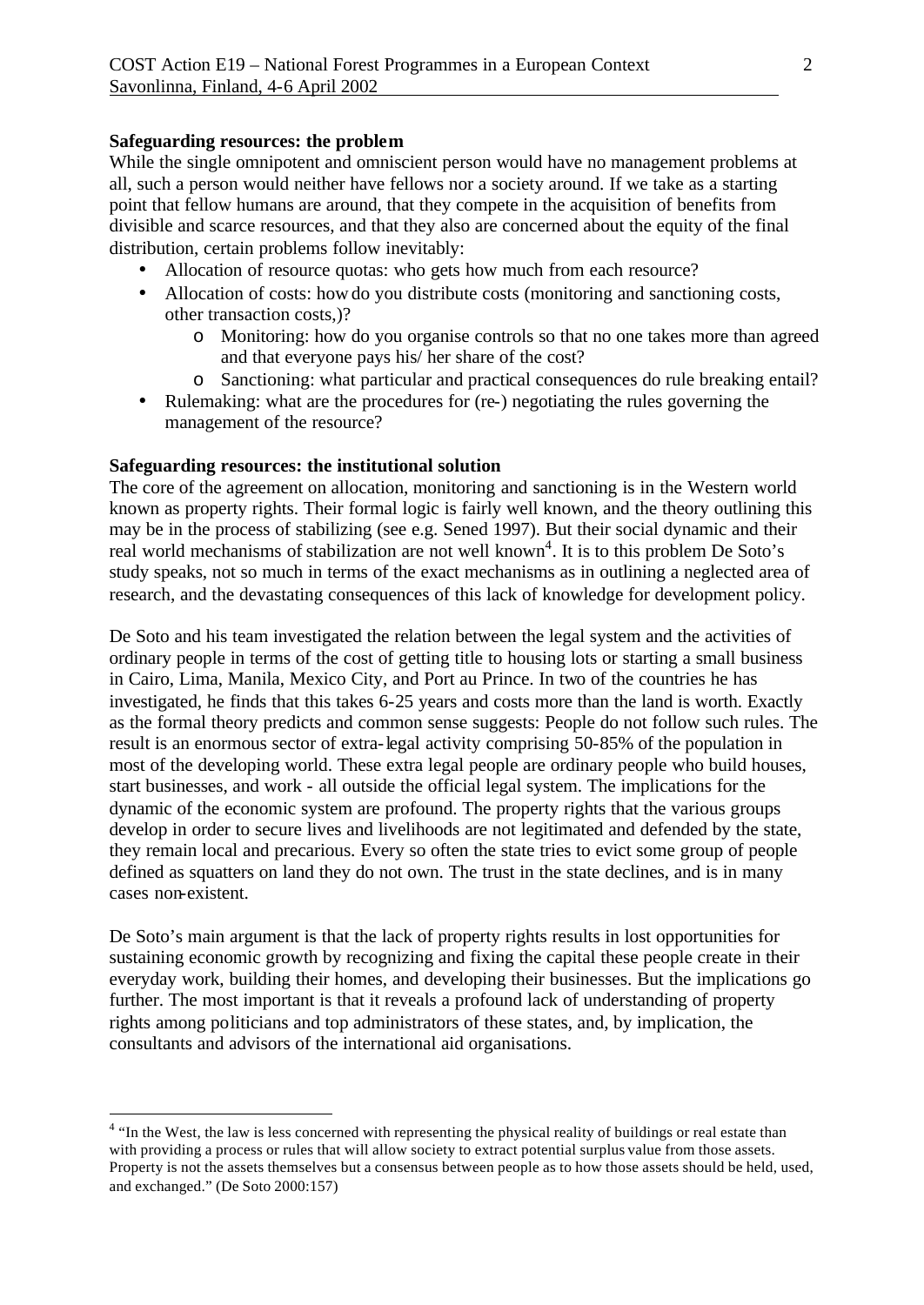### **Safeguarding resources: the problem**

While the single omnipotent and omniscient person would have no management problems at all, such a person would neither have fellows nor a society around. If we take as a starting point that fellow humans are around, that they compete in the acquisition of benefits from divisible and scarce resources, and that they also are concerned about the equity of the final distribution, certain problems follow inevitably:

- Allocation of resource quotas: who gets how much from each resource?
- Allocation of costs: how do you distribute costs (monitoring and sanctioning costs, other transaction costs,)?
	- o Monitoring: how do you organise controls so that no one takes more than agreed and that everyone pays his/ her share of the cost?
	- o Sanctioning: what particular and practical consequences do rule breaking entail?
- Rulemaking: what are the procedures for (re-) negotiating the rules governing the management of the resource?

### **Safeguarding resources: the institutional solution**

l

The core of the agreement on allocation, monitoring and sanctioning is in the Western world known as property rights. Their formal logic is fairly well known, and the theory outlining this may be in the process of stabilizing (see e.g. Sened 1997). But their social dynamic and their real world mechanisms of stabilization are not well known<sup>4</sup>. It is to this problem De Soto's study speaks, not so much in terms of the exact mechanisms as in outlining a neglected area of research, and the devastating consequences of this lack of knowledge for development policy.

De Soto and his team investigated the relation between the legal system and the activities of ordinary people in terms of the cost of getting title to housing lots or starting a small business in Cairo, Lima, Manila, Mexico City, and Port au Prince. In two of the countries he has investigated, he finds that this takes 6-25 years and costs more than the land is worth. Exactly as the formal theory predicts and common sense suggests: People do not follow such rules. The result is an enormous sector of extra-legal activity comprising 50-85% of the population in most of the developing world. These extra legal people are ordinary people who build houses, start businesses, and work - all outside the official legal system. The implications for the dynamic of the economic system are profound. The property rights that the various groups develop in order to secure lives and livelihoods are not legitimated and defended by the state, they remain local and precarious. Every so often the state tries to evict some group of people defined as squatters on land they do not own. The trust in the state declines, and is in many cases non-existent.

De Soto's main argument is that the lack of property rights results in lost opportunities for sustaining economic growth by recognizing and fixing the capital these people create in their everyday work, building their homes, and developing their businesses. But the implications go further. The most important is that it reveals a profound lack of understanding of property rights among politicians and top administrators of these states, and, by implication, the consultants and advisors of the international aid organisations.

<sup>&</sup>lt;sup>4</sup> "In the West, the law is less concerned with representing the physical reality of buildings or real estate than with providing a process or rules that will allow society to extract potential surplus value from those assets. Property is not the assets themselves but a consensus between people as to how those assets should be held, used, and exchanged." (De Soto 2000:157)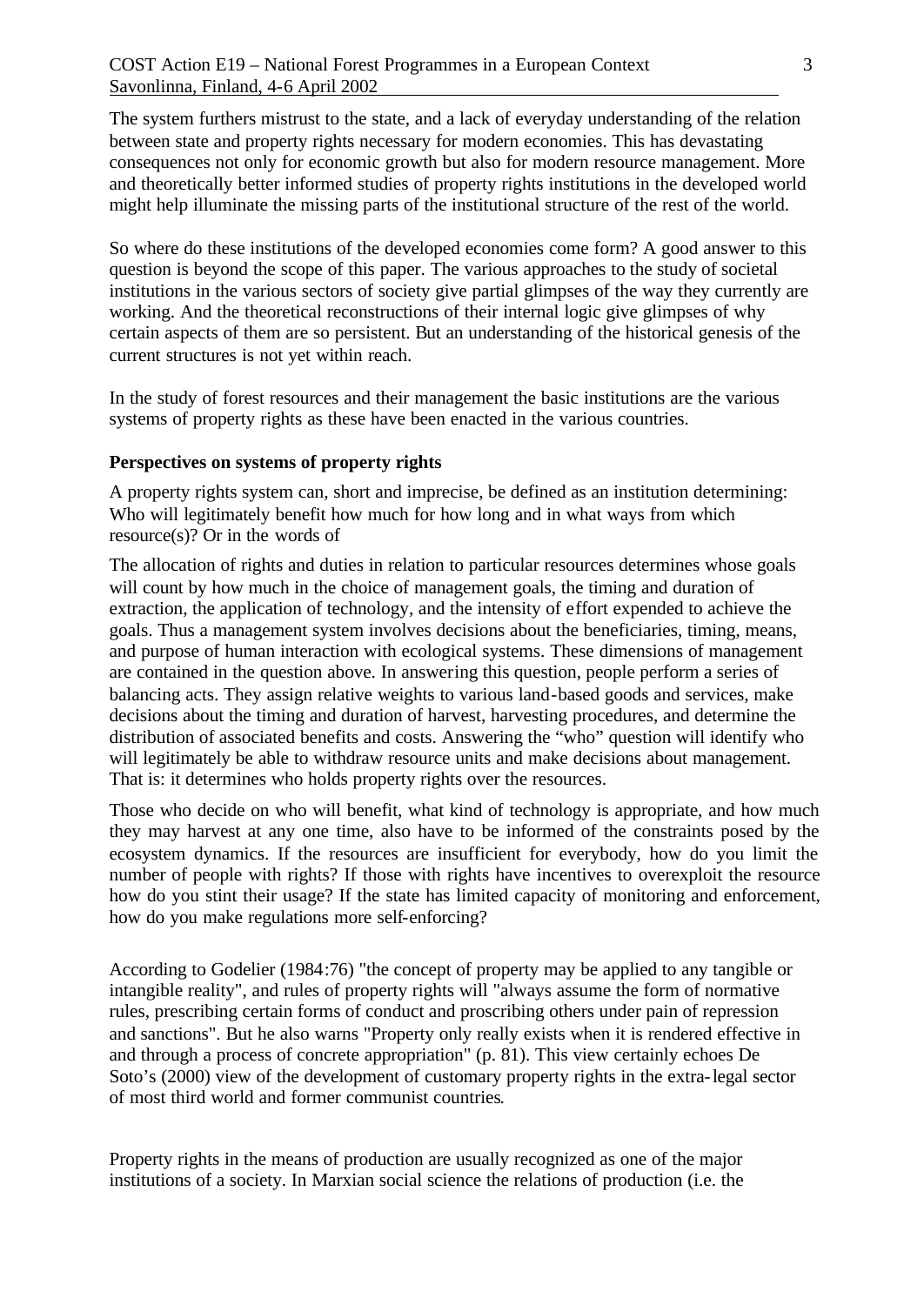The system furthers mistrust to the state, and a lack of everyday understanding of the relation between state and property rights necessary for modern economies. This has devastating consequences not only for economic growth but also for modern resource management. More and theoretically better informed studies of property rights institutions in the developed world might help illuminate the missing parts of the institutional structure of the rest of the world.

So where do these institutions of the developed economies come form? A good answer to this question is beyond the scope of this paper. The various approaches to the study of societal institutions in the various sectors of society give partial glimpses of the way they currently are working. And the theoretical reconstructions of their internal logic give glimpses of why certain aspects of them are so persistent. But an understanding of the historical genesis of the current structures is not yet within reach.

In the study of forest resources and their management the basic institutions are the various systems of property rights as these have been enacted in the various countries.

### **Perspectives on systems of property rights**

A property rights system can, short and imprecise, be defined as an institution determining: Who will legitimately benefit how much for how long and in what ways from which resource(s)? Or in the words of

The allocation of rights and duties in relation to particular resources determines whose goals will count by how much in the choice of management goals, the timing and duration of extraction, the application of technology, and the intensity of effort expended to achieve the goals. Thus a management system involves decisions about the beneficiaries, timing, means, and purpose of human interaction with ecological systems. These dimensions of management are contained in the question above. In answering this question, people perform a series of balancing acts. They assign relative weights to various land-based goods and services, make decisions about the timing and duration of harvest, harvesting procedures, and determine the distribution of associated benefits and costs. Answering the "who" question will identify who will legitimately be able to withdraw resource units and make decisions about management. That is: it determines who holds property rights over the resources.

Those who decide on who will benefit, what kind of technology is appropriate, and how much they may harvest at any one time, also have to be informed of the constraints posed by the ecosystem dynamics. If the resources are insufficient for everybody, how do you limit the number of people with rights? If those with rights have incentives to overexploit the resource how do you stint their usage? If the state has limited capacity of monitoring and enforcement, how do you make regulations more self-enforcing?

According to Godelier (1984:76) "the concept of property may be applied to any tangible or intangible reality", and rules of property rights will "always assume the form of normative rules, prescribing certain forms of conduct and proscribing others under pain of repression and sanctions". But he also warns "Property only really exists when it is rendered effective in and through a process of concrete appropriation" (p. 81). This view certainly echoes De Soto's (2000) view of the development of customary property rights in the extra-legal sector of most third world and former communist countries.

Property rights in the means of production are usually recognized as one of the major institutions of a society. In Marxian social science the relations of production (i.e. the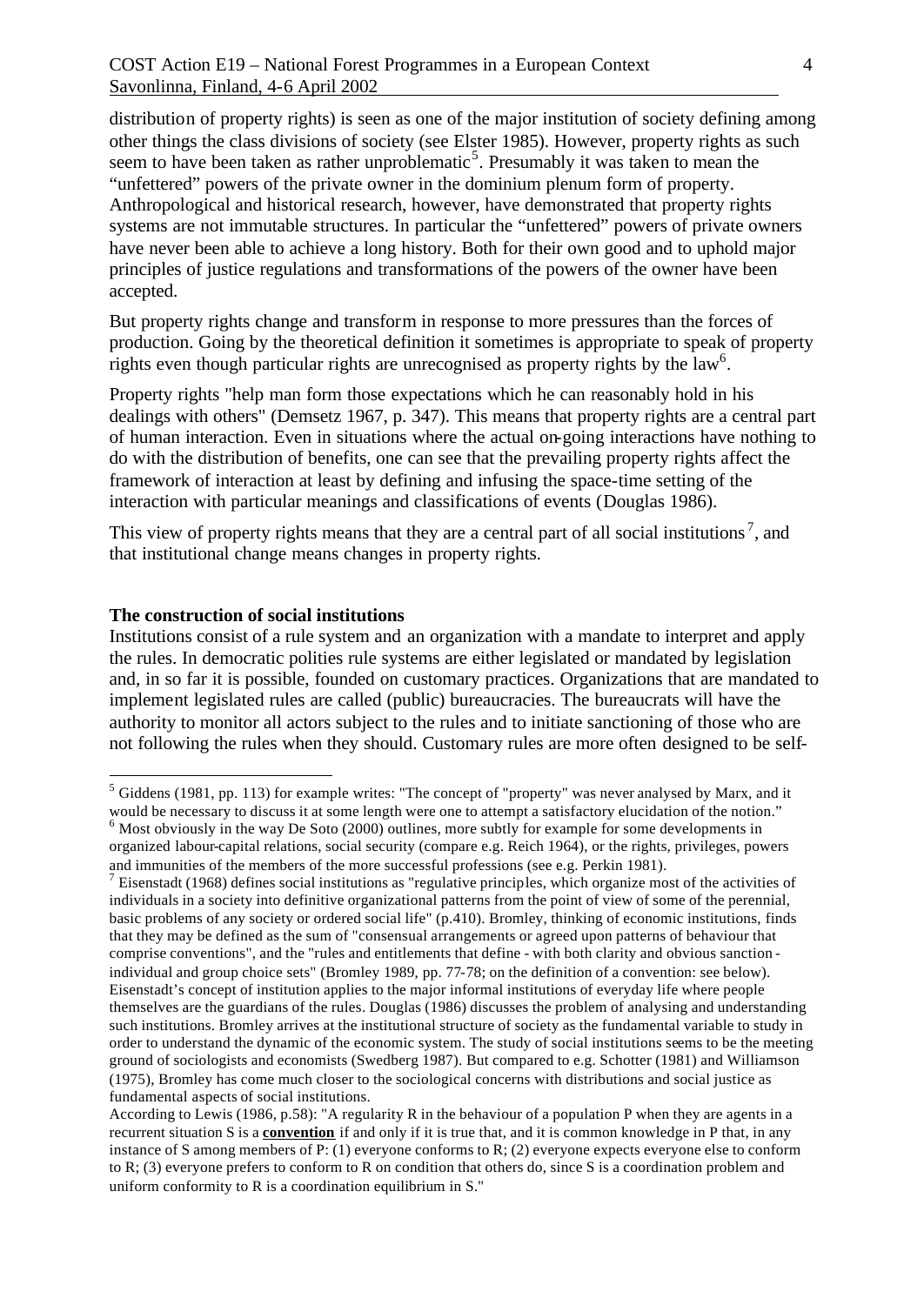distribution of property rights) is seen as one of the major institution of society defining among other things the class divisions of society (see Elster 1985). However, property rights as such seem to have been taken as rather unproblematic<sup>5</sup>. Presumably it was taken to mean the "unfettered" powers of the private owner in the dominium plenum form of property. Anthropological and historical research, however, have demonstrated that property rights systems are not immutable structures. In particular the "unfettered" powers of private owners have never been able to achieve a long history. Both for their own good and to uphold major principles of justice regulations and transformations of the powers of the owner have been accepted.

But property rights change and transform in response to more pressures than the forces of production. Going by the theoretical definition it sometimes is appropriate to speak of property rights even though particular rights are unrecognised as property rights by the  $\text{law}^6$ .

Property rights "help man form those expectations which he can reasonably hold in his dealings with others" (Demsetz 1967, p. 347). This means that property rights are a central part of human interaction. Even in situations where the actual on-going interactions have nothing to do with the distribution of benefits, one can see that the prevailing property rights affect the framework of interaction at least by defining and infusing the space-time setting of the interaction with particular meanings and classifications of events (Douglas 1986).

This view of property rights means that they are a central part of all social institutions<sup>7</sup>, and that institutional change means changes in property rights.

#### **The construction of social institutions**

Institutions consist of a rule system and an organization with a mandate to interpret and apply the rules. In democratic polities rule systems are either legislated or mandated by legislation and, in so far it is possible, founded on customary practices. Organizations that are mandated to implement legislated rules are called (public) bureaucracies. The bureaucrats will have the authority to monitor all actors subject to the rules and to initiate sanctioning of those who are not following the rules when they should. Customary rules are more often designed to be self-

 5 Giddens (1981, pp. 113) for example writes: "The concept of "property" was never analysed by Marx, and it would be necessary to discuss it at some length were one to attempt a satisfactory elucidation of the notion."  $6$  Most obviously in the way De Soto (2000) outlines, more subtly for example for some developments in organized labour-capital relations, social security (compare e.g. Reich 1964), or the rights, privileges, powers

and immunities of the members of the more successful professions (see e.g. Perkin 1981).

 $^7$  Eisenstadt (1968) defines social institutions as "regulative principles, which organize most of the activities of individuals in a society into definitive organizational patterns from the point of view of some of the perennial, basic problems of any society or ordered social life" (p.410). Bromley, thinking of economic institutions, finds that they may be defined as the sum of "consensual arrangements or agreed upon patterns of behaviour that comprise conventions", and the "rules and entitlements that define - with both clarity and obvious sanction individual and group choice sets" (Bromley 1989, pp. 77-78; on the definition of a convention: see below). Eisenstadt's concept of institution applies to the major informal institutions of everyday life where people themselves are the guardians of the rules. Douglas (1986) discusses the problem of analysing and understanding such institutions. Bromley arrives at the institutional structure of society as the fundamental variable to study in order to understand the dynamic of the economic system. The study of social institutions seems to be the meeting ground of sociologists and economists (Swedberg 1987). But compared to e.g. Schotter (1981) and Williamson (1975), Bromley has come much closer to the sociological concerns with distributions and social justice as fundamental aspects of social institutions.

According to Lewis (1986, p.58): "A regularity R in the behaviour of a population P when they are agents in a recurrent situation S is a **convention** if and only if it is true that, and it is common knowledge in P that, in any instance of S among members of P: (1) everyone conforms to R; (2) everyone expects everyone else to conform to R; (3) everyone prefers to conform to R on condition that others do, since S is a coordination problem and uniform conformity to R is a coordination equilibrium in S."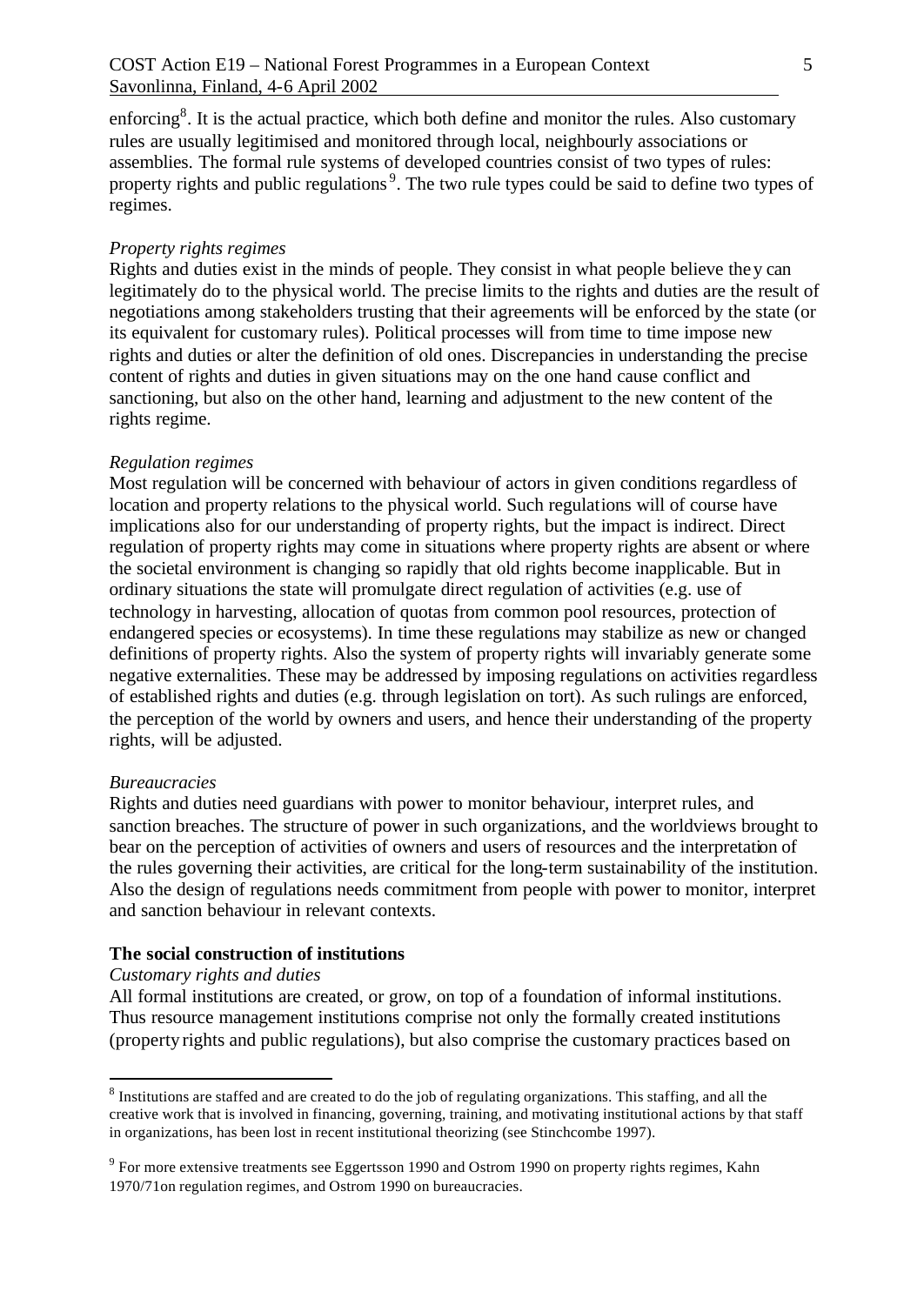enforcing<sup>8</sup>. It is the actual practice, which both define and monitor the rules. Also customary rules are usually legitimised and monitored through local, neighbourly associations or assemblies. The formal rule systems of developed countries consist of two types of rules: property rights and public regulations<sup>9</sup>. The two rule types could be said to define two types of regimes.

### *Property rights regimes*

Rights and duties exist in the minds of people. They consist in what people believe they can legitimately do to the physical world. The precise limits to the rights and duties are the result of negotiations among stakeholders trusting that their agreements will be enforced by the state (or its equivalent for customary rules). Political processes will from time to time impose new rights and duties or alter the definition of old ones. Discrepancies in understanding the precise content of rights and duties in given situations may on the one hand cause conflict and sanctioning, but also on the other hand, learning and adjustment to the new content of the rights regime.

#### *Regulation regimes*

Most regulation will be concerned with behaviour of actors in given conditions regardless of location and property relations to the physical world. Such regulations will of course have implications also for our understanding of property rights, but the impact is indirect. Direct regulation of property rights may come in situations where property rights are absent or where the societal environment is changing so rapidly that old rights become inapplicable. But in ordinary situations the state will promulgate direct regulation of activities (e.g. use of technology in harvesting, allocation of quotas from common pool resources, protection of endangered species or ecosystems). In time these regulations may stabilize as new or changed definitions of property rights. Also the system of property rights will invariably generate some negative externalities. These may be addressed by imposing regulations on activities regardless of established rights and duties (e.g. through legislation on tort). As such rulings are enforced, the perception of the world by owners and users, and hence their understanding of the property rights, will be adjusted.

#### *Bureaucracies*

l

Rights and duties need guardians with power to monitor behaviour, interpret rules, and sanction breaches. The structure of power in such organizations, and the worldviews brought to bear on the perception of activities of owners and users of resources and the interpretation of the rules governing their activities, are critical for the long-term sustainability of the institution. Also the design of regulations needs commitment from people with power to monitor, interpret and sanction behaviour in relevant contexts.

#### **The social construction of institutions**

### *Customary rights and duties*

All formal institutions are created, or grow, on top of a foundation of informal institutions. Thus resource management institutions comprise not only the formally created institutions (property rights and public regulations), but also comprise the customary practices based on

 $8$  Institutions are staffed and are created to do the job of regulating organizations. This staffing, and all the creative work that is involved in financing, governing, training, and motivating institutional actions by that staff in organizations, has been lost in recent institutional theorizing (see Stinchcombe 1997).

 $9^9$  For more extensive treatments see Eggertsson 1990 and Ostrom 1990 on property rights regimes, Kahn 1970/71on regulation regimes, and Ostrom 1990 on bureaucracies.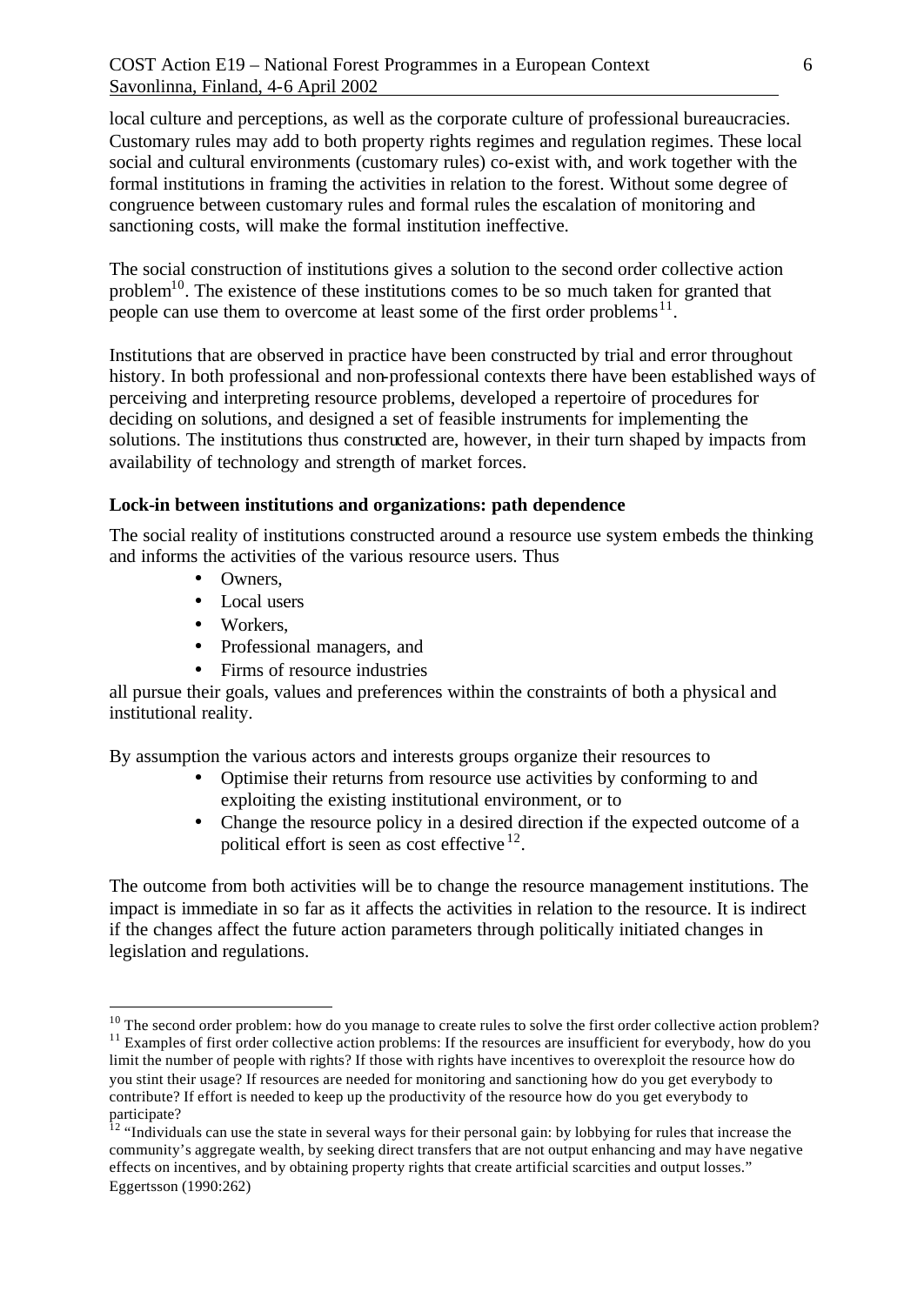local culture and perceptions, as well as the corporate culture of professional bureaucracies. Customary rules may add to both property rights regimes and regulation regimes. These local social and cultural environments (customary rules) co-exist with, and work together with the formal institutions in framing the activities in relation to the forest. Without some degree of congruence between customary rules and formal rules the escalation of monitoring and sanctioning costs, will make the formal institution ineffective.

The social construction of institutions gives a solution to the second order collective action problem<sup>10</sup>. The existence of these institutions comes to be so much taken for granted that people can use them to overcome at least some of the first order problems $^{11}$ .

Institutions that are observed in practice have been constructed by trial and error throughout history. In both professional and non-professional contexts there have been established ways of perceiving and interpreting resource problems, developed a repertoire of procedures for deciding on solutions, and designed a set of feasible instruments for implementing the solutions. The institutions thus constructed are, however, in their turn shaped by impacts from availability of technology and strength of market forces.

### **Lock-in between institutions and organizations: path dependence**

The social reality of institutions constructed around a resource use system embeds the thinking and informs the activities of the various resource users. Thus

- Owners
- Local users
- Workers.

l

- Professional managers, and
- Firms of resource industries

all pursue their goals, values and preferences within the constraints of both a physical and institutional reality.

By assumption the various actors and interests groups organize their resources to

- Optimise their returns from resource use activities by conforming to and exploiting the existing institutional environment, or to
- Change the resource policy in a desired direction if the expected outcome of a political effort is seen as cost effective  $12$ .

The outcome from both activities will be to change the resource management institutions. The impact is immediate in so far as it affects the activities in relation to the resource. It is indirect if the changes affect the future action parameters through politically initiated changes in legislation and regulations.

 $10$  The second order problem: how do you manage to create rules to solve the first order collective action problem? <sup>11</sup> Examples of first order collective action problems: If the resources are insufficient for everybody, how do you limit the number of people with rights? If those with rights have incentives to overexploit the resource how do you stint their usage? If resources are needed for monitoring and sanctioning how do you get everybody to contribute? If effort is needed to keep up the productivity of the resource how do you get everybody to participate?

 $12$  "Individuals can use the state in several ways for their personal gain: by lobbying for rules that increase the community's aggregate wealth, by seeking direct transfers that are not output enhancing and may have negative effects on incentives, and by obtaining property rights that create artificial scarcities and output losses." Eggertsson (1990:262)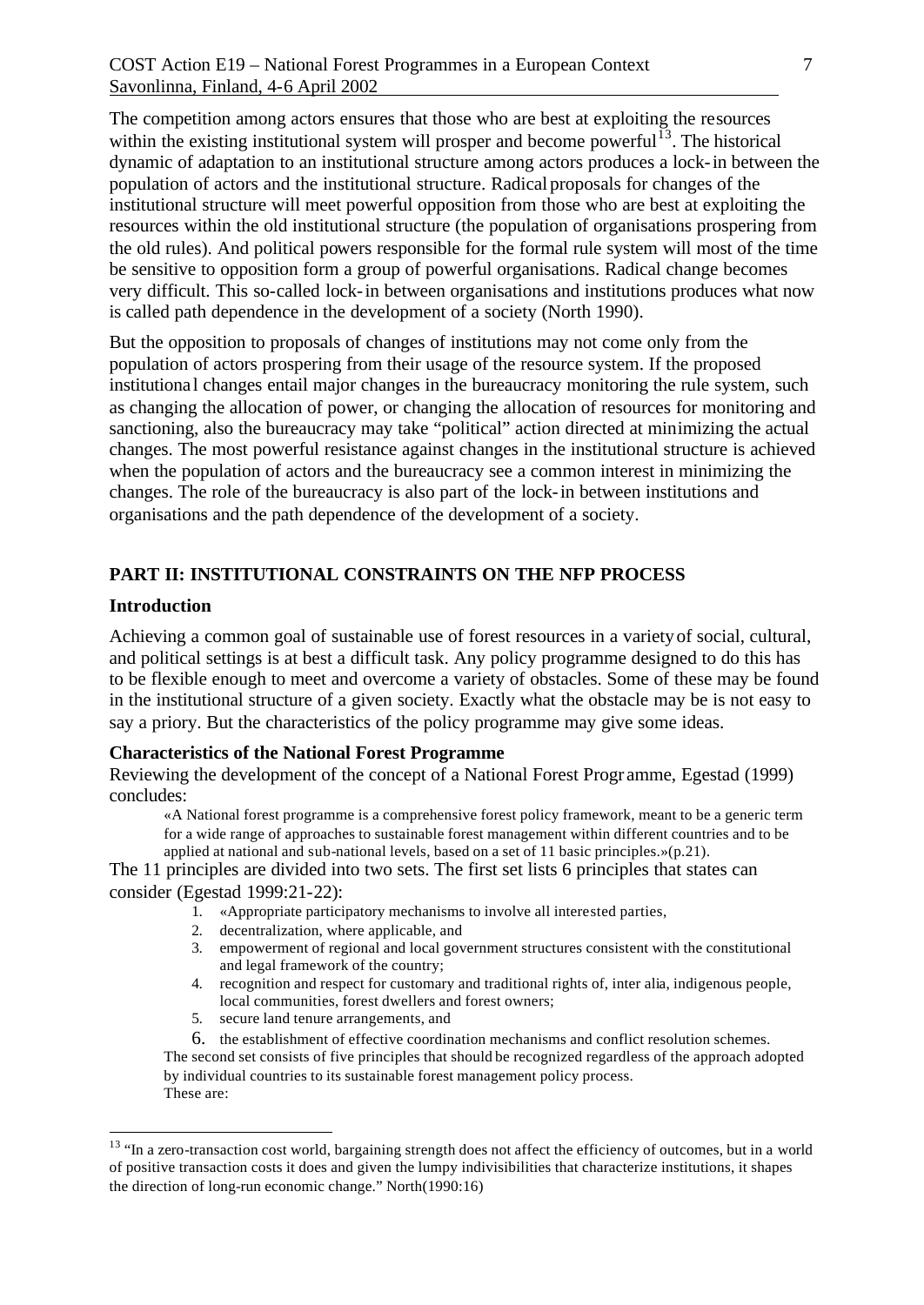The competition among actors ensures that those who are best at exploiting the resources within the existing institutional system will prosper and become powerful<sup>13</sup>. The historical dynamic of adaptation to an institutional structure among actors produces a lock-in between the population of actors and the institutional structure. Radical proposals for changes of the institutional structure will meet powerful opposition from those who are best at exploiting the resources within the old institutional structure (the population of organisations prospering from the old rules). And political powers responsible for the formal rule system will most of the time be sensitive to opposition form a group of powerful organisations. Radical change becomes very difficult. This so-called lock-in between organisations and institutions produces what now is called path dependence in the development of a society (North 1990).

But the opposition to proposals of changes of institutions may not come only from the population of actors prospering from their usage of the resource system. If the proposed institutiona l changes entail major changes in the bureaucracy monitoring the rule system, such as changing the allocation of power, or changing the allocation of resources for monitoring and sanctioning, also the bureaucracy may take "political" action directed at minimizing the actual changes. The most powerful resistance against changes in the institutional structure is achieved when the population of actors and the bureaucracy see a common interest in minimizing the changes. The role of the bureaucracy is also part of the lock-in between institutions and organisations and the path dependence of the development of a society.

## **PART II: INSTITUTIONAL CONSTRAINTS ON THE NFP PROCESS**

### **Introduction**

l

Achieving a common goal of sustainable use of forest resources in a variety of social, cultural, and political settings is at best a difficult task. Any policy programme designed to do this has to be flexible enough to meet and overcome a variety of obstacles. Some of these may be found in the institutional structure of a given society. Exactly what the obstacle may be is not easy to say a priory. But the characteristics of the policy programme may give some ideas.

### **Characteristics of the National Forest Programme**

Reviewing the development of the concept of a National Forest Progr amme, Egestad (1999) concludes:

«A National forest programme is a comprehensive forest policy framework, meant to be a generic term for a wide range of approaches to sustainable forest management within different countries and to be applied at national and sub-national levels, based on a set of 11 basic principles.»(p.21).

The 11 principles are divided into two sets. The first set lists 6 principles that states can consider (Egestad 1999:21-22):

- 1. «Appropriate participatory mechanisms to involve all interested parties,
- 2. decentralization, where applicable, and
- 3. empowerment of regional and local government structures consistent with the constitutional and legal framework of the country;
- 4. recognition and respect for customary and traditional rights of, inter alia, indigenous people, local communities, forest dwellers and forest owners;
- 5. secure land tenure arrangements, and

6. the establishment of effective coordination mechanisms and conflict resolution schemes. The second set consists of five principles that should be recognized regardless of the approach adopted by individual countries to its sustainable forest management policy process. These are:

<sup>&</sup>lt;sup>13</sup> "In a zero-transaction cost world, bargaining strength does not affect the efficiency of outcomes, but in a world of positive transaction costs it does and given the lumpy indivisibilities that characterize institutions, it shapes the direction of long-run economic change." North(1990:16)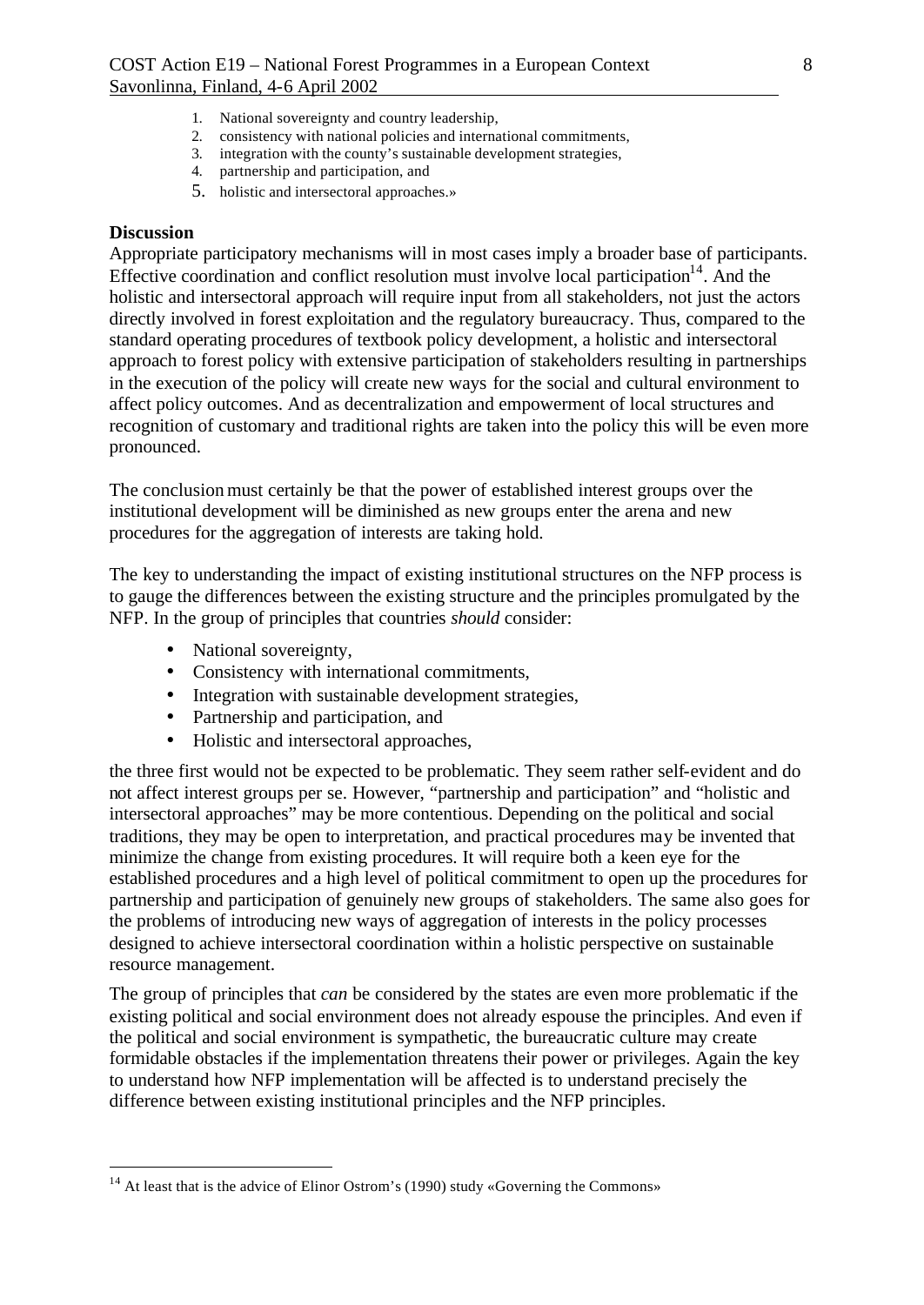- 1. National sovereignty and country leadership,
- 2. consistency with national policies and international commitments,
- 3. integration with the county's sustainable development strategies,
- 4. partnership and participation, and
- 5. holistic and intersectoral approaches.»

#### **Discussion**

l

Appropriate participatory mechanisms will in most cases imply a broader base of participants. Effective coordination and conflict resolution must involve local participation<sup>14</sup>. And the holistic and intersectoral approach will require input from all stakeholders, not just the actors directly involved in forest exploitation and the regulatory bureaucracy. Thus, compared to the standard operating procedures of textbook policy development, a holistic and intersectoral approach to forest policy with extensive participation of stakeholders resulting in partnerships in the execution of the policy will create new ways for the social and cultural environment to affect policy outcomes. And as decentralization and empowerment of local structures and recognition of customary and traditional rights are taken into the policy this will be even more pronounced.

The conclusion must certainly be that the power of established interest groups over the institutional development will be diminished as new groups enter the arena and new procedures for the aggregation of interests are taking hold.

The key to understanding the impact of existing institutional structures on the NFP process is to gauge the differences between the existing structure and the principles promulgated by the NFP. In the group of principles that countries *should* consider:

- National sovereignty,
- Consistency with international commitments,
- Integration with sustainable development strategies,
- Partnership and participation, and
- Holistic and intersectoral approaches,

the three first would not be expected to be problematic. They seem rather self-evident and do not affect interest groups per se. However, "partnership and participation" and "holistic and intersectoral approaches" may be more contentious. Depending on the political and social traditions, they may be open to interpretation, and practical procedures may be invented that minimize the change from existing procedures. It will require both a keen eye for the established procedures and a high level of political commitment to open up the procedures for partnership and participation of genuinely new groups of stakeholders. The same also goes for the problems of introducing new ways of aggregation of interests in the policy processes designed to achieve intersectoral coordination within a holistic perspective on sustainable resource management.

The group of principles that *can* be considered by the states are even more problematic if the existing political and social environment does not already espouse the principles. And even if the political and social environment is sympathetic, the bureaucratic culture may create formidable obstacles if the implementation threatens their power or privileges. Again the key to understand how NFP implementation will be affected is to understand precisely the difference between existing institutional principles and the NFP principles.

<sup>&</sup>lt;sup>14</sup> At least that is the advice of Elinor Ostrom's (1990) study «Governing the Commons»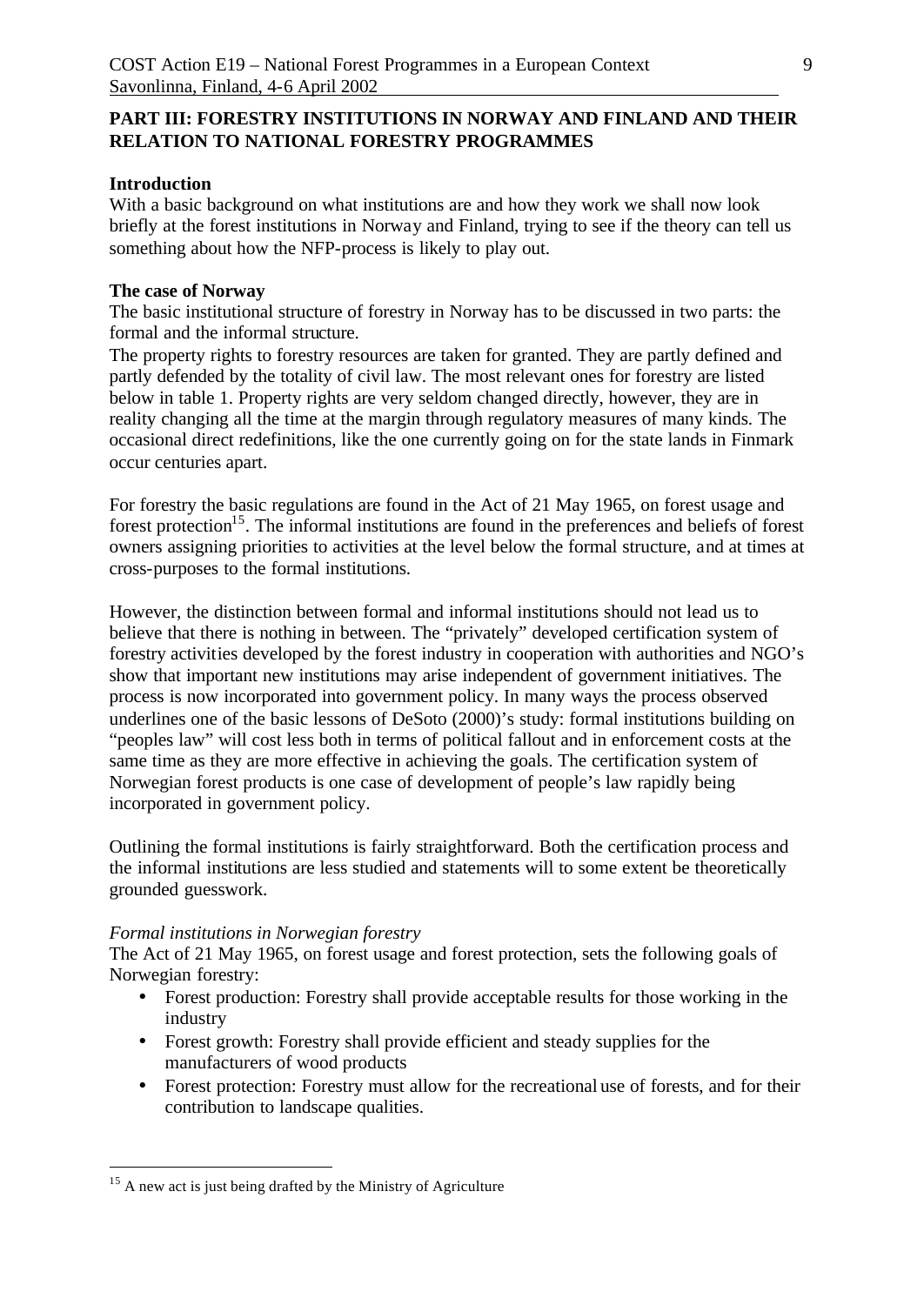### **PART III: FORESTRY INSTITUTIONS IN NORWAY AND FINLAND AND THEIR RELATION TO NATIONAL FORESTRY PROGRAMMES**

### **Introduction**

With a basic background on what institutions are and how they work we shall now look briefly at the forest institutions in Norway and Finland, trying to see if the theory can tell us something about how the NFP-process is likely to play out.

### **The case of Norway**

The basic institutional structure of forestry in Norway has to be discussed in two parts: the formal and the informal structure.

The property rights to forestry resources are taken for granted. They are partly defined and partly defended by the totality of civil law. The most relevant ones for forestry are listed below in table 1. Property rights are very seldom changed directly, however, they are in reality changing all the time at the margin through regulatory measures of many kinds. The occasional direct redefinitions, like the one currently going on for the state lands in Finmark occur centuries apart.

For forestry the basic regulations are found in the Act of 21 May 1965, on forest usage and forest protection<sup>15</sup>. The informal institutions are found in the preferences and beliefs of forest owners assigning priorities to activities at the level below the formal structure, and at times at cross-purposes to the formal institutions.

However, the distinction between formal and informal institutions should not lead us to believe that there is nothing in between. The "privately" developed certification system of forestry activities developed by the forest industry in cooperation with authorities and NGO's show that important new institutions may arise independent of government initiatives. The process is now incorporated into government policy. In many ways the process observed underlines one of the basic lessons of DeSoto (2000)'s study: formal institutions building on "peoples law" will cost less both in terms of political fallout and in enforcement costs at the same time as they are more effective in achieving the goals. The certification system of Norwegian forest products is one case of development of people's law rapidly being incorporated in government policy.

Outlining the formal institutions is fairly straightforward. Both the certification process and the informal institutions are less studied and statements will to some extent be theoretically grounded guesswork.

### *Formal institutions in Norwegian forestry*

l

The Act of 21 May 1965, on forest usage and forest protection, sets the following goals of Norwegian forestry:

- Forest production: Forestry shall provide acceptable results for those working in the industry
- Forest growth: Forestry shall provide efficient and steady supplies for the manufacturers of wood products
- Forest protection: Forestry must allow for the recreational use of forests, and for their contribution to landscape qualities.

 $15$  A new act is just being drafted by the Ministry of Agriculture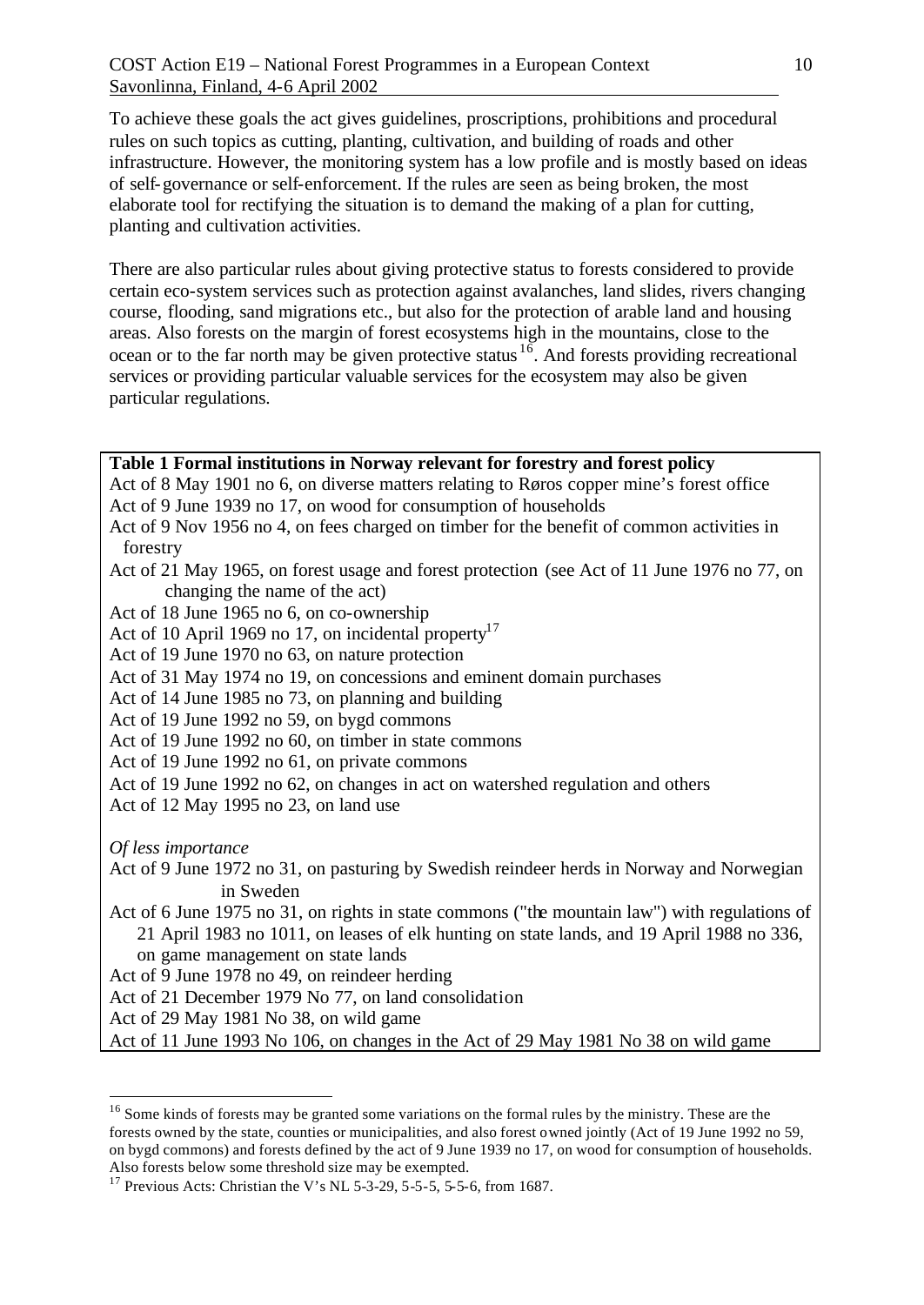To achieve these goals the act gives guidelines, proscriptions, prohibitions and procedural rules on such topics as cutting, planting, cultivation, and building of roads and other infrastructure. However, the monitoring system has a low profile and is mostly based on ideas of self-governance or self-enforcement. If the rules are seen as being broken, the most elaborate tool for rectifying the situation is to demand the making of a plan for cutting, planting and cultivation activities.

There are also particular rules about giving protective status to forests considered to provide certain eco-system services such as protection against avalanches, land slides, rivers changing course, flooding, sand migrations etc., but also for the protection of arable land and housing areas. Also forests on the margin of forest ecosystems high in the mountains, close to the ocean or to the far north may be given protective status  $16$ . And forests providing recreational services or providing particular valuable services for the ecosystem may also be given particular regulations.

| Table 1 Formal institutions in Norway relevant for forestry and forest policy                 |
|-----------------------------------------------------------------------------------------------|
| Act of 8 May 1901 no 6, on diverse matters relating to Røros copper mine's forest office      |
| Act of 9 June 1939 no 17, on wood for consumption of households                               |
| Act of 9 Nov 1956 no 4, on fees charged on timber for the benefit of common activities in     |
| forestry                                                                                      |
| Act of 21 May 1965, on forest usage and forest protection (see Act of 11 June 1976 no 77, on  |
| changing the name of the act)                                                                 |
| Act of 18 June 1965 no 6, on co-ownership                                                     |
| Act of 10 April 1969 no 17, on incidental property <sup>17</sup>                              |
| Act of 19 June 1970 no 63, on nature protection                                               |
| Act of 31 May 1974 no 19, on concessions and eminent domain purchases                         |
| Act of 14 June 1985 no 73, on planning and building                                           |
| Act of 19 June 1992 no 59, on bygd commons                                                    |
| Act of 19 June 1992 no 60, on timber in state commons                                         |
| Act of 19 June 1992 no 61, on private commons                                                 |
| Act of 19 June 1992 no 62, on changes in act on watershed regulation and others               |
| Act of 12 May 1995 no 23, on land use                                                         |
|                                                                                               |
| Of less importance                                                                            |
| Act of 9 June 1972 no 31, on pasturing by Swedish reindeer herds in Norway and Norwegian      |
| in Sweden                                                                                     |
| Act of 6 June 1975 no 31, on rights in state commons ("the mountain law") with regulations of |
| 21 April 1983 no 1011, on leases of elk hunting on state lands, and 19 April 1988 no 336,     |
| on game management on state lands                                                             |
| Act of 9 June 1978 no 49, on reindeer herding                                                 |
| Act of 21 December 1979 No 77, on land consolidation                                          |
| Act of 29 May 1981 No 38, on wild game                                                        |
| Act of 11 June 1993 No 106, on changes in the Act of 29 May 1981 No 38 on wild game           |
|                                                                                               |

<sup>&</sup>lt;sup>16</sup> Some kinds of forests may be granted some variations on the formal rules by the ministry. These are the forests owned by the state, counties or municipalities, and also forest owned jointly (Act of 19 June 1992 no 59, on bygd commons) and forests defined by the act of 9 June 1939 no 17, on wood for consumption of households. Also forests below some threshold size may be exempted.

l

<sup>&</sup>lt;sup>17</sup> Previous Acts: Christian the V's NL 5-3-29, 5-5-5, 5-5-6, from 1687.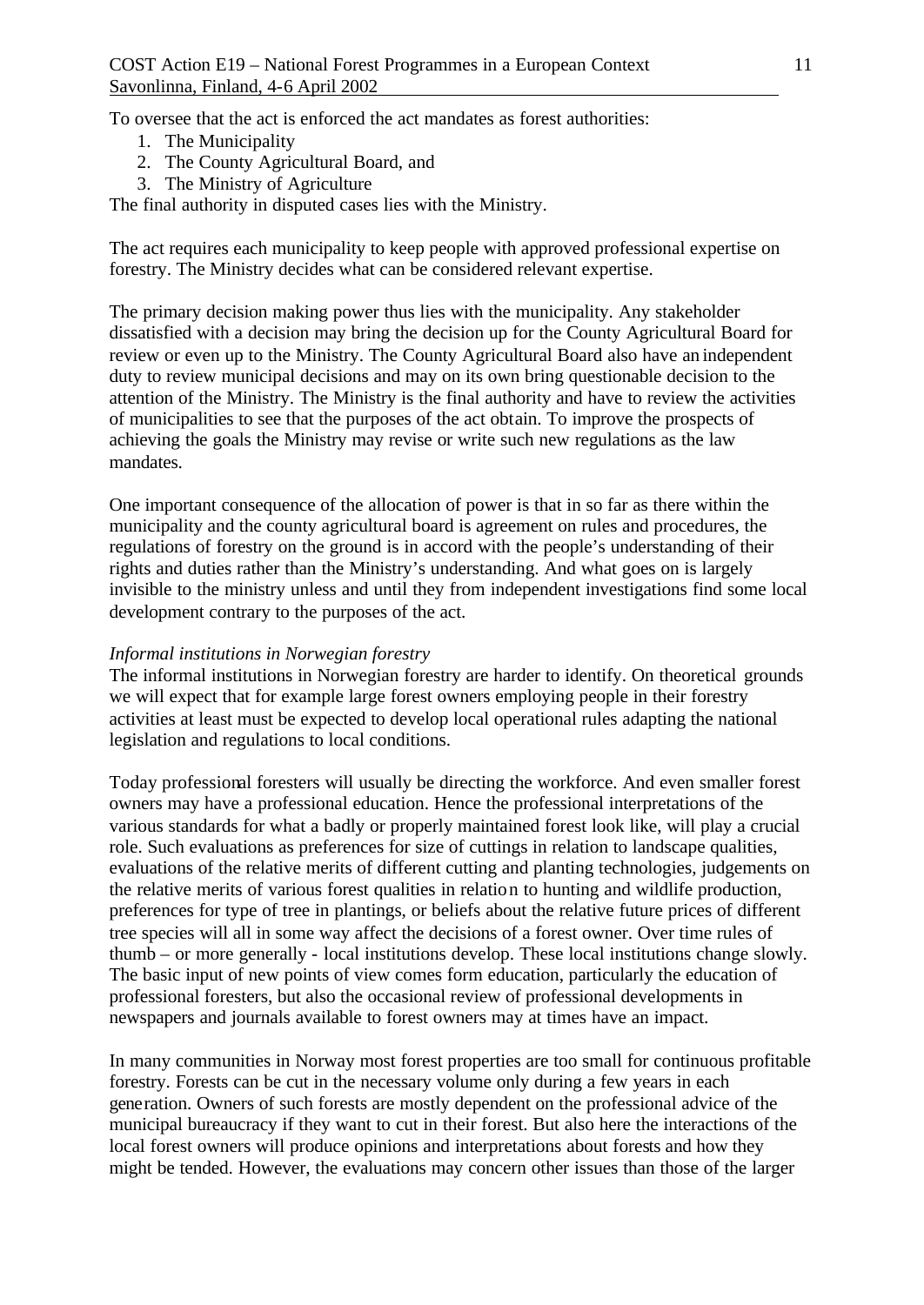To oversee that the act is enforced the act mandates as forest authorities:

- 1. The Municipality
- 2. The County Agricultural Board, and
- 3. The Ministry of Agriculture

The final authority in disputed cases lies with the Ministry.

The act requires each municipality to keep people with approved professional expertise on forestry. The Ministry decides what can be considered relevant expertise.

The primary decision making power thus lies with the municipality. Any stakeholder dissatisfied with a decision may bring the decision up for the County Agricultural Board for review or even up to the Ministry. The County Agricultural Board also have an independent duty to review municipal decisions and may on its own bring questionable decision to the attention of the Ministry. The Ministry is the final authority and have to review the activities of municipalities to see that the purposes of the act obtain. To improve the prospects of achieving the goals the Ministry may revise or write such new regulations as the law mandates.

One important consequence of the allocation of power is that in so far as there within the municipality and the county agricultural board is agreement on rules and procedures, the regulations of forestry on the ground is in accord with the people's understanding of their rights and duties rather than the Ministry's understanding. And what goes on is largely invisible to the ministry unless and until they from independent investigations find some local development contrary to the purposes of the act.

#### *Informal institutions in Norwegian forestry*

The informal institutions in Norwegian forestry are harder to identify. On theoretical grounds we will expect that for example large forest owners employing people in their forestry activities at least must be expected to develop local operational rules adapting the national legislation and regulations to local conditions.

Today professional foresters will usually be directing the workforce. And even smaller forest owners may have a professional education. Hence the professional interpretations of the various standards for what a badly or properly maintained forest look like, will play a crucial role. Such evaluations as preferences for size of cuttings in relation to landscape qualities, evaluations of the relative merits of different cutting and planting technologies, judgements on the relative merits of various forest qualities in relation to hunting and wildlife production, preferences for type of tree in plantings, or beliefs about the relative future prices of different tree species will all in some way affect the decisions of a forest owner. Over time rules of thumb – or more generally - local institutions develop. These local institutions change slowly. The basic input of new points of view comes form education, particularly the education of professional foresters, but also the occasional review of professional developments in newspapers and journals available to forest owners may at times have an impact.

In many communities in Norway most forest properties are too small for continuous profitable forestry. Forests can be cut in the necessary volume only during a few years in each generation. Owners of such forests are mostly dependent on the professional advice of the municipal bureaucracy if they want to cut in their forest. But also here the interactions of the local forest owners will produce opinions and interpretations about forests and how they might be tended. However, the evaluations may concern other issues than those of the larger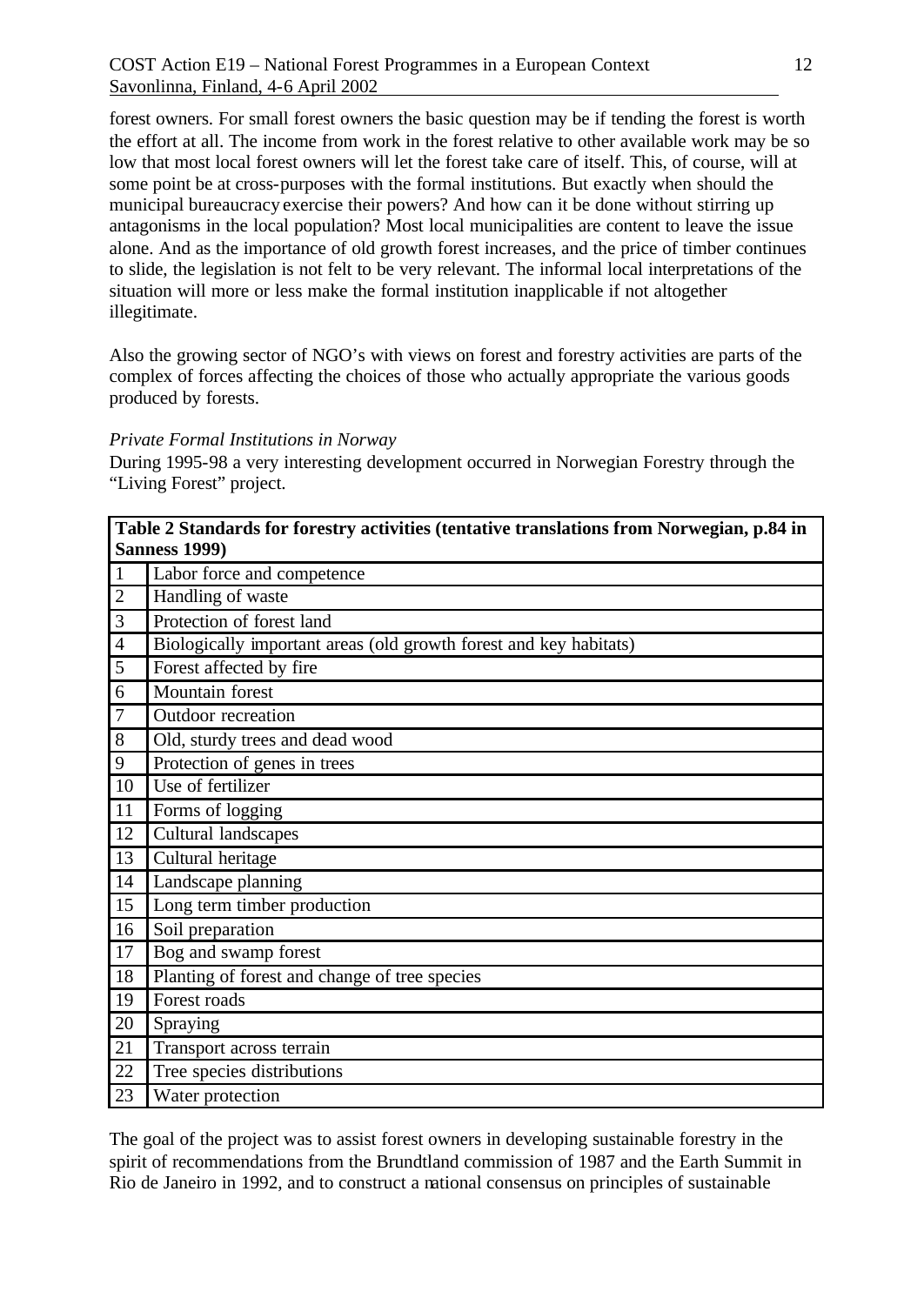forest owners. For small forest owners the basic question may be if tending the forest is worth the effort at all. The income from work in the forest relative to other available work may be so low that most local forest owners will let the forest take care of itself. This, of course, will at some point be at cross-purposes with the formal institutions. But exactly when should the municipal bureaucracy exercise their powers? And how can it be done without stirring up antagonisms in the local population? Most local municipalities are content to leave the issue alone. And as the importance of old growth forest increases, and the price of timber continues to slide, the legislation is not felt to be very relevant. The informal local interpretations of the situation will more or less make the formal institution inapplicable if not altogether illegitimate.

Also the growing sector of NGO's with views on forest and forestry activities are parts of the complex of forces affecting the choices of those who actually appropriate the various goods produced by forests.

#### *Private Formal Institutions in Norway*

During 1995-98 a very interesting development occurred in Norwegian Forestry through the "Living Forest" project.

| Table 2 Standards for forestry activities (tentative translations from Norwegian, p.84 in |                                                                   |  |
|-------------------------------------------------------------------------------------------|-------------------------------------------------------------------|--|
| <b>Sanness 1999)</b>                                                                      |                                                                   |  |
| $\vert$ 1                                                                                 | Labor force and competence                                        |  |
| $\overline{2}$                                                                            | Handling of waste                                                 |  |
| $\overline{3}$                                                                            | Protection of forest land                                         |  |
| $\overline{4}$                                                                            | Biologically important areas (old growth forest and key habitats) |  |
| $\overline{5}$                                                                            | Forest affected by fire                                           |  |
| 6                                                                                         | Mountain forest                                                   |  |
| $\overline{7}$                                                                            | Outdoor recreation                                                |  |
| 8                                                                                         | Old, sturdy trees and dead wood                                   |  |
| 9                                                                                         | Protection of genes in trees                                      |  |
| $\overline{1}0$                                                                           | Use of fertilizer                                                 |  |
| $\lceil 11 \rceil$                                                                        | Forms of logging                                                  |  |
| $\sqrt{12}$                                                                               | Cultural landscapes                                               |  |
| 13                                                                                        | Cultural heritage                                                 |  |
| 14                                                                                        | Landscape planning                                                |  |
| 15                                                                                        | Long term timber production                                       |  |
| 16                                                                                        | Soil preparation                                                  |  |
| 17                                                                                        | Bog and swamp forest                                              |  |
| 18                                                                                        | Planting of forest and change of tree species                     |  |
| <b>19</b>                                                                                 | Forest roads                                                      |  |
| 20                                                                                        | Spraying                                                          |  |
| 21                                                                                        | Transport across terrain                                          |  |
| 22                                                                                        | Tree species distributions                                        |  |
| 23                                                                                        | Water protection                                                  |  |

The goal of the project was to assist forest owners in developing sustainable forestry in the spirit of recommendations from the Brundtland commission of 1987 and the Earth Summit in Rio de Janeiro in 1992, and to construct a national consensus on principles of sustainable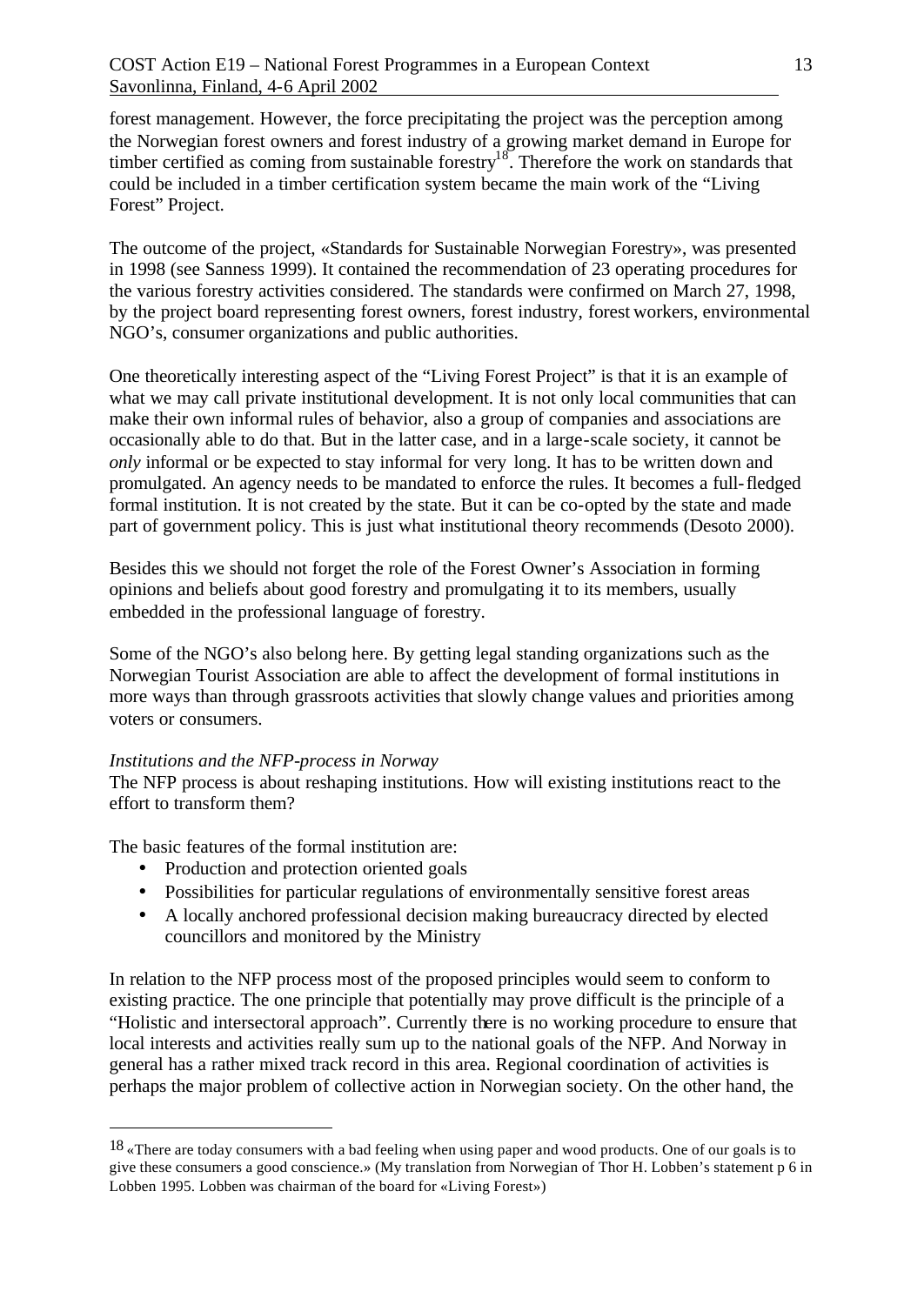forest management. However, the force precipitating the project was the perception among the Norwegian forest owners and forest industry of a growing market demand in Europe for timber certified as coming from sustainable forestry<sup>18</sup>. Therefore the work on standards that could be included in a timber certification system became the main work of the "Living Forest" Project.

The outcome of the project, «Standards for Sustainable Norwegian Forestry», was presented in 1998 (see Sanness 1999). It contained the recommendation of 23 operating procedures for the various forestry activities considered. The standards were confirmed on March 27, 1998, by the project board representing forest owners, forest industry, forest workers, environmental NGO's, consumer organizations and public authorities.

One theoretically interesting aspect of the "Living Forest Project" is that it is an example of what we may call private institutional development. It is not only local communities that can make their own informal rules of behavior, also a group of companies and associations are occasionally able to do that. But in the latter case, and in a large-scale society, it cannot be *only* informal or be expected to stay informal for very long. It has to be written down and promulgated. An agency needs to be mandated to enforce the rules. It becomes a full-fledged formal institution. It is not created by the state. But it can be co-opted by the state and made part of government policy. This is just what institutional theory recommends (Desoto 2000).

Besides this we should not forget the role of the Forest Owner's Association in forming opinions and beliefs about good forestry and promulgating it to its members, usually embedded in the professional language of forestry.

Some of the NGO's also belong here. By getting legal standing organizations such as the Norwegian Tourist Association are able to affect the development of formal institutions in more ways than through grassroots activities that slowly change values and priorities among voters or consumers.

### *Institutions and the NFP-process in Norway*

The NFP process is about reshaping institutions. How will existing institutions react to the effort to transform them?

The basic features of the formal institution are:

l

- Production and protection oriented goals
- Possibilities for particular regulations of environmentally sensitive forest areas
- A locally anchored professional decision making bureaucracy directed by elected councillors and monitored by the Ministry

In relation to the NFP process most of the proposed principles would seem to conform to existing practice. The one principle that potentially may prove difficult is the principle of a "Holistic and intersectoral approach". Currently there is no working procedure to ensure that local interests and activities really sum up to the national goals of the NFP. And Norway in general has a rather mixed track record in this area. Regional coordination of activities is perhaps the major problem of collective action in Norwegian society. On the other hand, the

<sup>&</sup>lt;sup>18</sup> «There are today consumers with a bad feeling when using paper and wood products. One of our goals is to give these consumers a good conscience.» (My translation from Norwegian of Thor H. Lobben's statement p 6 in Lobben 1995. Lobben was chairman of the board for «Living Forest»)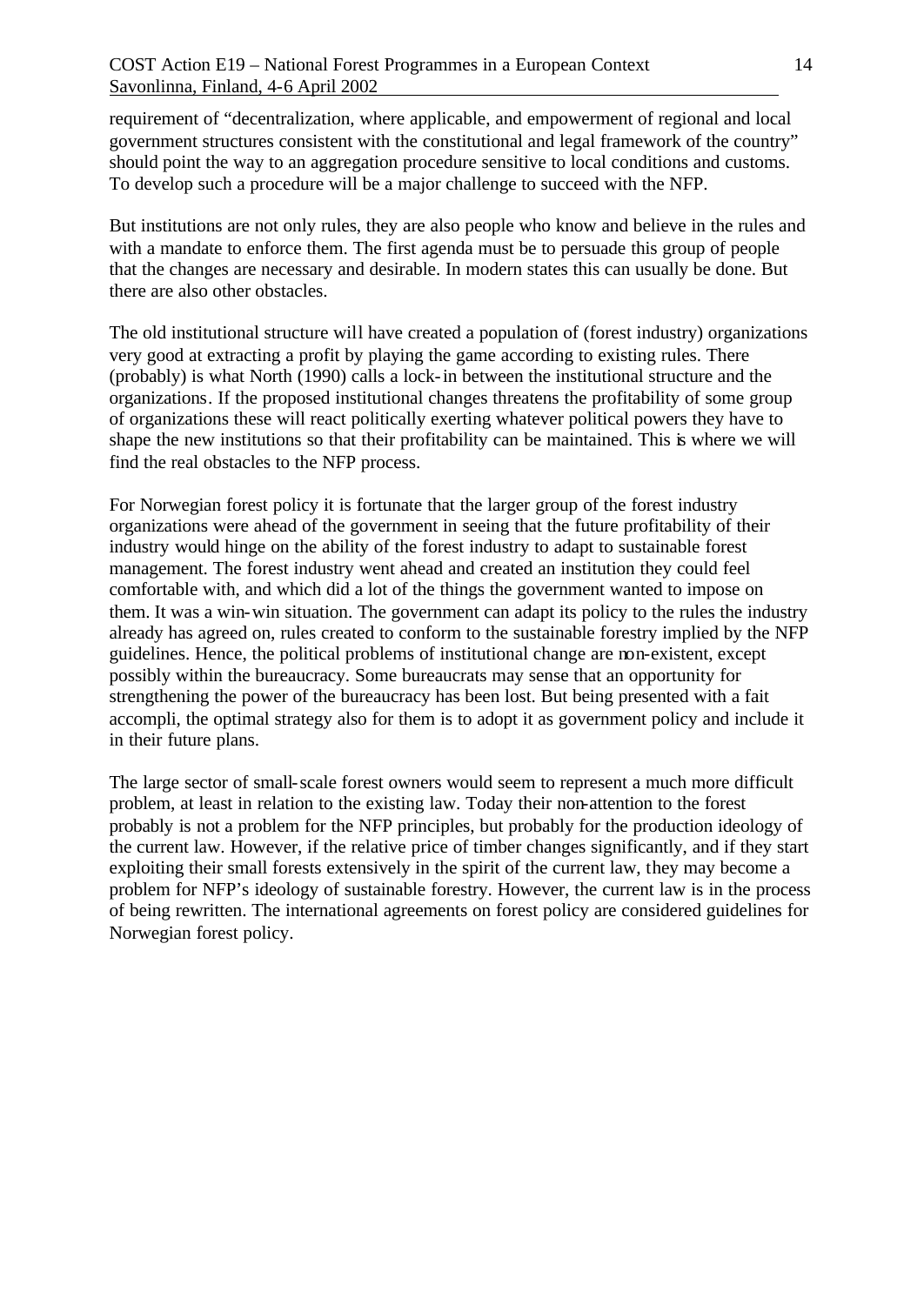requirement of "decentralization, where applicable, and empowerment of regional and local government structures consistent with the constitutional and legal framework of the country" should point the way to an aggregation procedure sensitive to local conditions and customs. To develop such a procedure will be a major challenge to succeed with the NFP.

But institutions are not only rules, they are also people who know and believe in the rules and with a mandate to enforce them. The first agenda must be to persuade this group of people that the changes are necessary and desirable. In modern states this can usually be done. But there are also other obstacles.

The old institutional structure will have created a population of (forest industry) organizations very good at extracting a profit by playing the game according to existing rules. There (probably) is what North (1990) calls a lock-in between the institutional structure and the organizations. If the proposed institutional changes threatens the profitability of some group of organizations these will react politically exerting whatever political powers they have to shape the new institutions so that their profitability can be maintained. This is where we will find the real obstacles to the NFP process.

For Norwegian forest policy it is fortunate that the larger group of the forest industry organizations were ahead of the government in seeing that the future profitability of their industry would hinge on the ability of the forest industry to adapt to sustainable forest management. The forest industry went ahead and created an institution they could feel comfortable with, and which did a lot of the things the government wanted to impose on them. It was a win-win situation. The government can adapt its policy to the rules the industry already has agreed on, rules created to conform to the sustainable forestry implied by the NFP guidelines. Hence, the political problems of institutional change are non-existent, except possibly within the bureaucracy. Some bureaucrats may sense that an opportunity for strengthening the power of the bureaucracy has been lost. But being presented with a fait accompli, the optimal strategy also for them is to adopt it as government policy and include it in their future plans.

The large sector of small-scale forest owners would seem to represent a much more difficult problem, at least in relation to the existing law. Today their non-attention to the forest probably is not a problem for the NFP principles, but probably for the production ideology of the current law. However, if the relative price of timber changes significantly, and if they start exploiting their small forests extensively in the spirit of the current law, they may become a problem for NFP's ideology of sustainable forestry. However, the current law is in the process of being rewritten. The international agreements on forest policy are considered guidelines for Norwegian forest policy.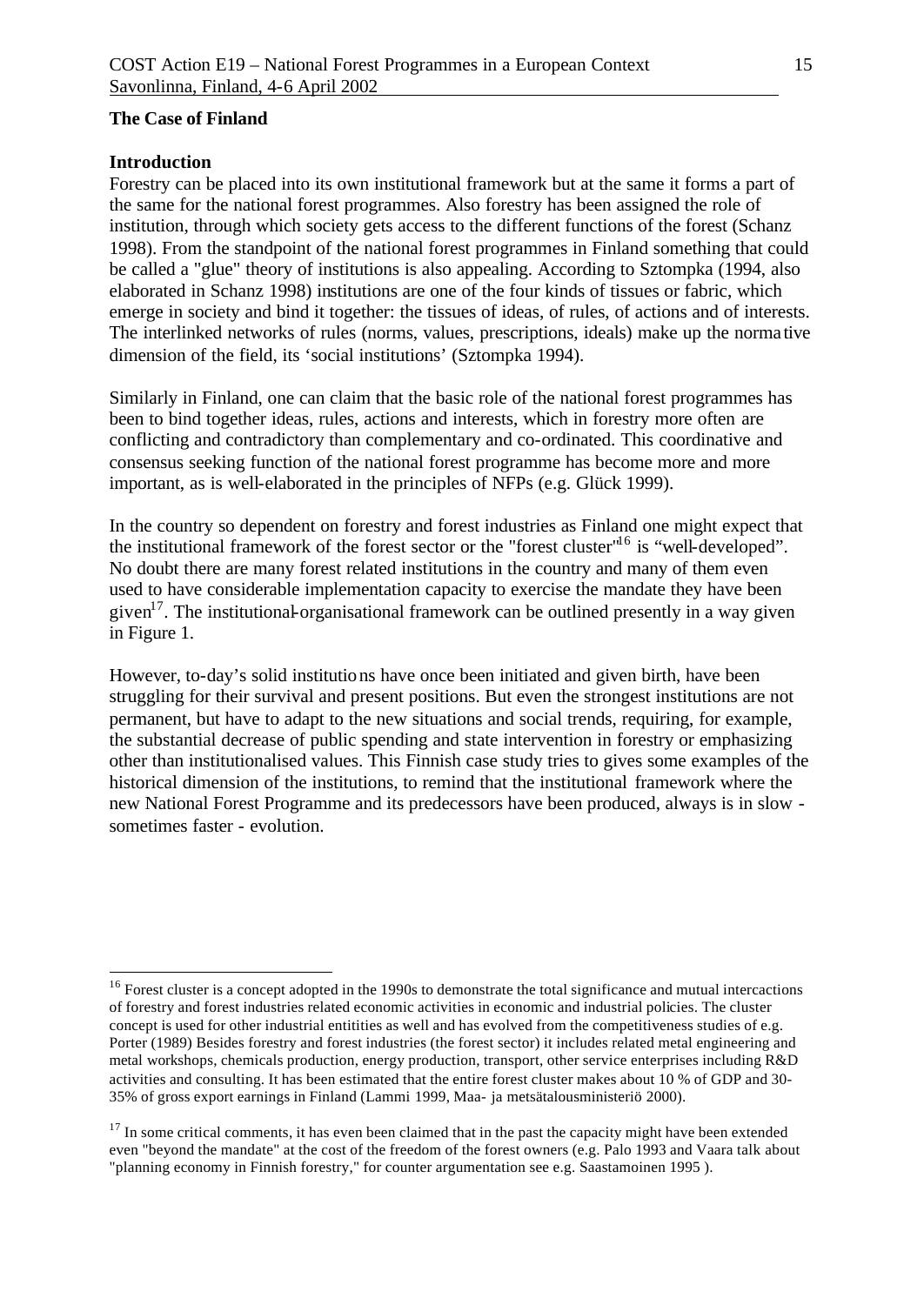### **The Case of Finland**

#### **Introduction**

l

Forestry can be placed into its own institutional framework but at the same it forms a part of the same for the national forest programmes. Also forestry has been assigned the role of institution, through which society gets access to the different functions of the forest (Schanz 1998). From the standpoint of the national forest programmes in Finland something that could be called a "glue" theory of institutions is also appealing. According to Sztompka (1994, also elaborated in Schanz 1998) institutions are one of the four kinds of tissues or fabric, which emerge in society and bind it together: the tissues of ideas, of rules, of actions and of interests. The interlinked networks of rules (norms, values, prescriptions, ideals) make up the norma tive dimension of the field, its 'social institutions' (Sztompka 1994).

Similarly in Finland, one can claim that the basic role of the national forest programmes has been to bind together ideas, rules, actions and interests, which in forestry more often are conflicting and contradictory than complementary and co-ordinated. This coordinative and consensus seeking function of the national forest programme has become more and more important, as is well-elaborated in the principles of NFPs (e.g. Glück 1999).

In the country so dependent on forestry and forest industries as Finland one might expect that the institutional framework of the forest sector or the "forest cluster"<sup>16</sup> is "well-developed". No doubt there are many forest related institutions in the country and many of them even used to have considerable implementation capacity to exercise the mandate they have been given<sup>17</sup>. The institutional-organisational framework can be outlined presently in a way given in Figure 1.

However, to-day's solid institutions have once been initiated and given birth, have been struggling for their survival and present positions. But even the strongest institutions are not permanent, but have to adapt to the new situations and social trends, requiring, for example, the substantial decrease of public spending and state intervention in forestry or emphasizing other than institutionalised values. This Finnish case study tries to gives some examples of the historical dimension of the institutions, to remind that the institutional framework where the new National Forest Programme and its predecessors have been produced, always is in slow sometimes faster - evolution.

<sup>&</sup>lt;sup>16</sup> Forest cluster is a concept adopted in the 1990s to demonstrate the total significance and mutual intercactions of forestry and forest industries related economic activities in economic and industrial policies. The cluster concept is used for other industrial entitities as well and has evolved from the competitiveness studies of e.g. Porter (1989) Besides forestry and forest industries (the forest sector) it includes related metal engineering and metal workshops, chemicals production, energy production, transport, other service enterprises including R&D activities and consulting. It has been estimated that the entire forest cluster makes about 10 % of GDP and 30- 35% of gross export earnings in Finland (Lammi 1999, Maa- ja metsätalousministeriö 2000).

 $17$  In some critical comments, it has even been claimed that in the past the capacity might have been extended even "beyond the mandate" at the cost of the freedom of the forest owners (e.g. Palo 1993 and Vaara talk about "planning economy in Finnish forestry," for counter argumentation see e.g. Saastamoinen 1995 ).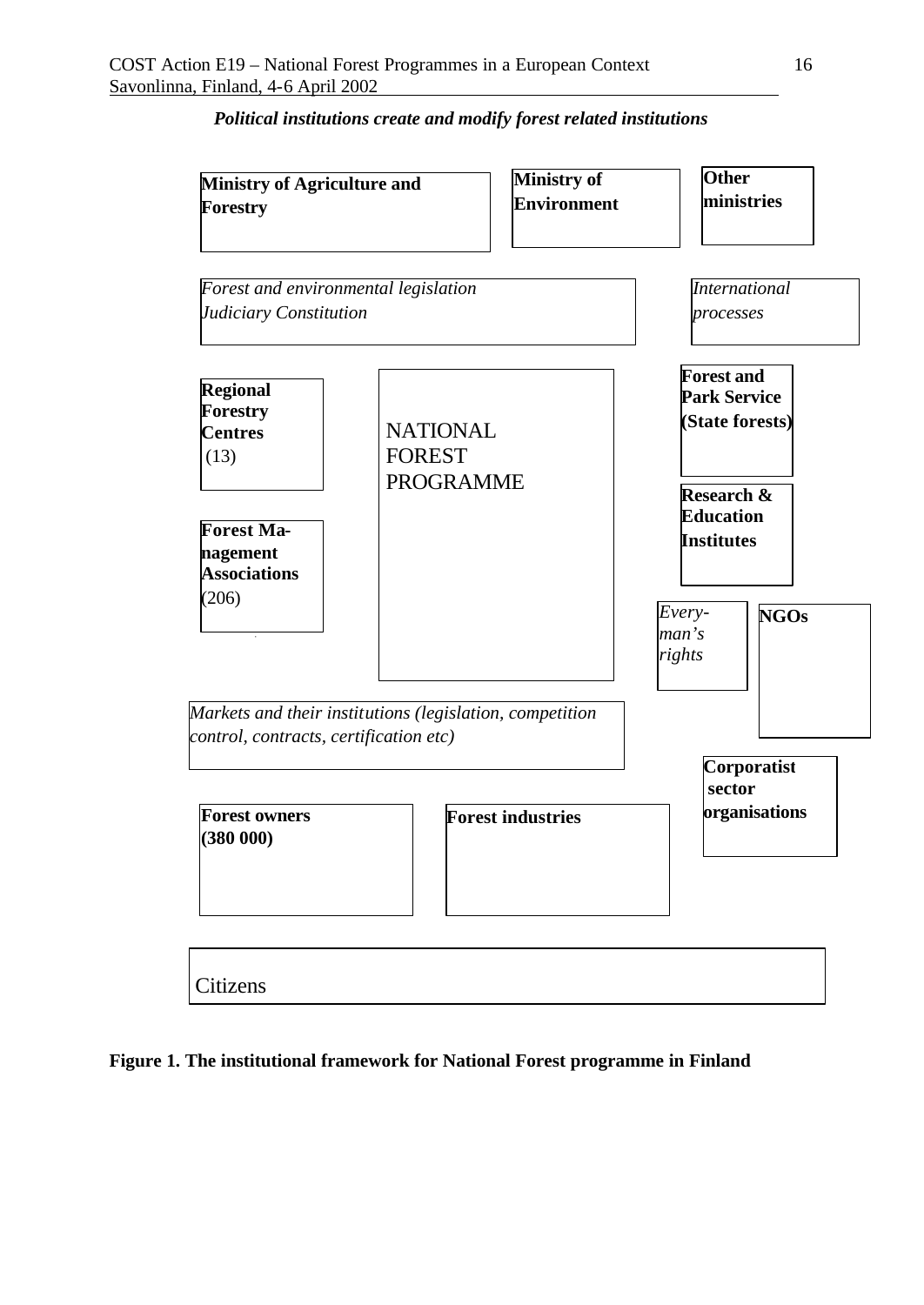

*Political institutions create and modify forest related institutions*

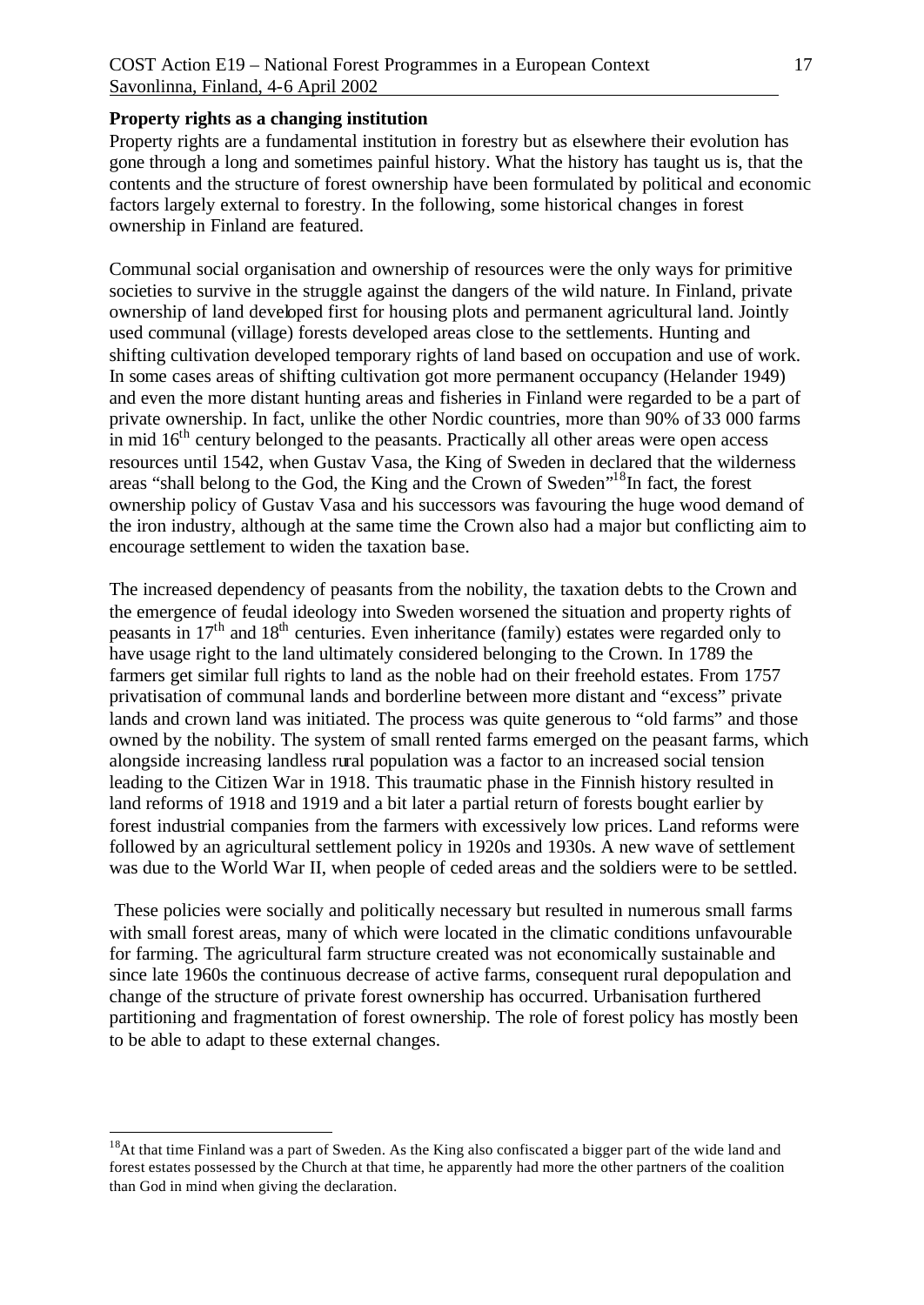#### **Property rights as a changing institution**

Property rights are a fundamental institution in forestry but as elsewhere their evolution has gone through a long and sometimes painful history. What the history has taught us is, that the contents and the structure of forest ownership have been formulated by political and economic factors largely external to forestry. In the following, some historical changes in forest ownership in Finland are featured.

Communal social organisation and ownership of resources were the only ways for primitive societies to survive in the struggle against the dangers of the wild nature. In Finland, private ownership of land developed first for housing plots and permanent agricultural land. Jointly used communal (village) forests developed areas close to the settlements. Hunting and shifting cultivation developed temporary rights of land based on occupation and use of work. In some cases areas of shifting cultivation got more permanent occupancy (Helander 1949) and even the more distant hunting areas and fisheries in Finland were regarded to be a part of private ownership. In fact, unlike the other Nordic countries, more than 90% of 33 000 farms in mid 16<sup>th</sup> century belonged to the peasants. Practically all other areas were open access resources until 1542, when Gustav Vasa, the King of Sweden in declared that the wilderness areas "shall belong to the God, the King and the Crown of Sweden"<sup>18</sup>In fact, the forest ownership policy of Gustav Vasa and his successors was favouring the huge wood demand of the iron industry, although at the same time the Crown also had a major but conflicting aim to encourage settlement to widen the taxation base.

The increased dependency of peasants from the nobility, the taxation debts to the Crown and the emergence of feudal ideology into Sweden worsened the situation and property rights of peasants in 17th and 18th centuries. Even inheritance (family) estates were regarded only to have usage right to the land ultimately considered belonging to the Crown. In 1789 the farmers get similar full rights to land as the noble had on their freehold estates. From 1757 privatisation of communal lands and borderline between more distant and "excess" private lands and crown land was initiated. The process was quite generous to "old farms" and those owned by the nobility. The system of small rented farms emerged on the peasant farms, which alongside increasing landless rural population was a factor to an increased social tension leading to the Citizen War in 1918. This traumatic phase in the Finnish history resulted in land reforms of 1918 and 1919 and a bit later a partial return of forests bought earlier by forest industrial companies from the farmers with excessively low prices. Land reforms were followed by an agricultural settlement policy in 1920s and 1930s. A new wave of settlement was due to the World War II, when people of ceded areas and the soldiers were to be settled.

 These policies were socially and politically necessary but resulted in numerous small farms with small forest areas, many of which were located in the climatic conditions unfavourable for farming. The agricultural farm structure created was not economically sustainable and since late 1960s the continuous decrease of active farms, consequent rural depopulation and change of the structure of private forest ownership has occurred. Urbanisation furthered partitioning and fragmentation of forest ownership. The role of forest policy has mostly been to be able to adapt to these external changes.

l

<sup>&</sup>lt;sup>18</sup>At that time Finland was a part of Sweden. As the King also confiscated a bigger part of the wide land and forest estates possessed by the Church at that time, he apparently had more the other partners of the coalition than God in mind when giving the declaration.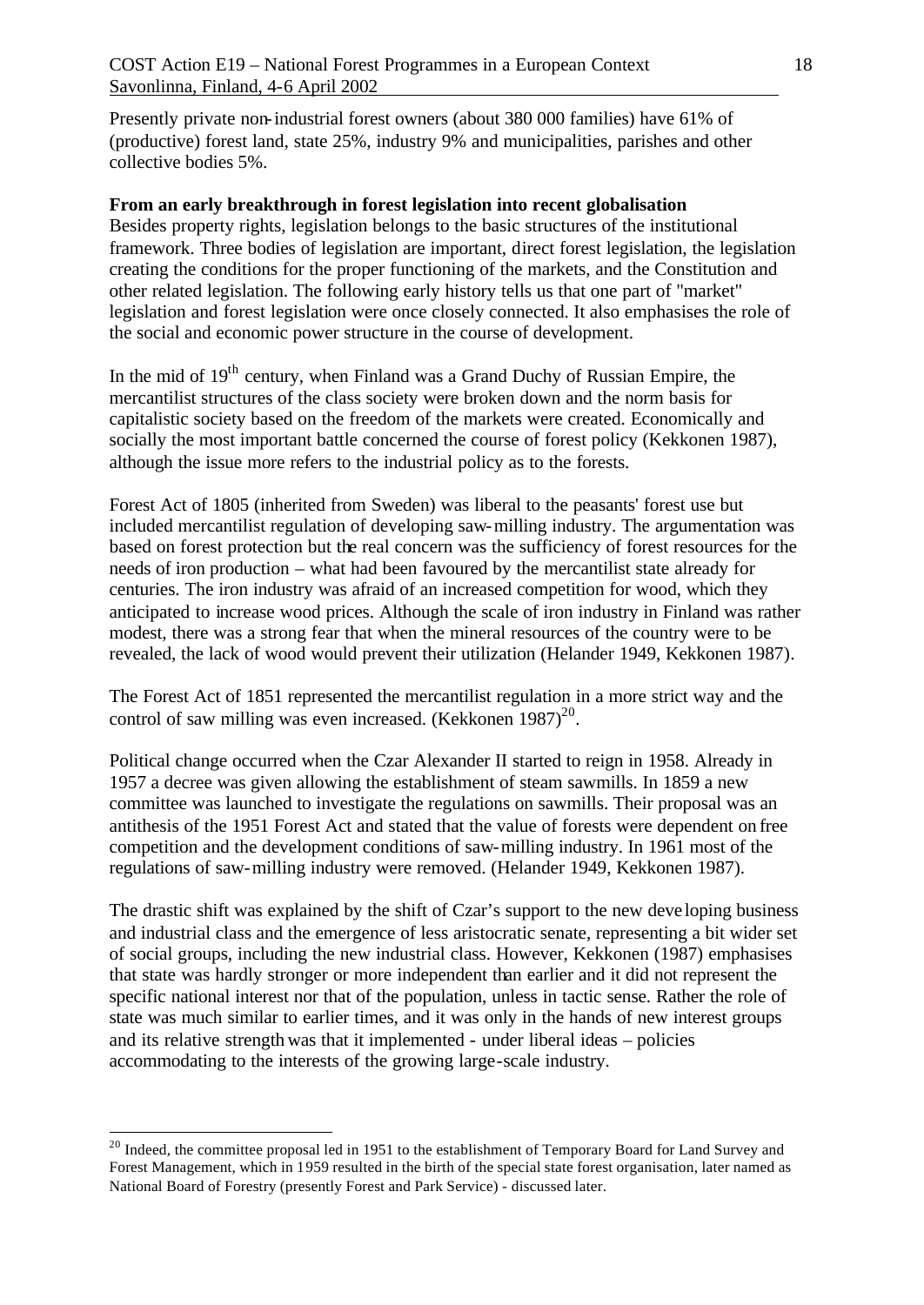Presently private non-industrial forest owners (about 380 000 families) have 61% of (productive) forest land, state 25%, industry 9% and municipalities, parishes and other collective bodies 5%.

#### **From an early breakthrough in forest legislation into recent globalisation**

Besides property rights, legislation belongs to the basic structures of the institutional framework. Three bodies of legislation are important, direct forest legislation, the legislation creating the conditions for the proper functioning of the markets, and the Constitution and other related legislation. The following early history tells us that one part of "market" legislation and forest legislation were once closely connected. It also emphasises the role of the social and economic power structure in the course of development.

In the mid of  $19<sup>th</sup>$  century, when Finland was a Grand Duchy of Russian Empire, the mercantilist structures of the class society were broken down and the norm basis for capitalistic society based on the freedom of the markets were created. Economically and socially the most important battle concerned the course of forest policy (Kekkonen 1987), although the issue more refers to the industrial policy as to the forests.

Forest Act of 1805 (inherited from Sweden) was liberal to the peasants' forest use but included mercantilist regulation of developing saw-milling industry. The argumentation was based on forest protection but the real concern was the sufficiency of forest resources for the needs of iron production – what had been favoured by the mercantilist state already for centuries. The iron industry was afraid of an increased competition for wood, which they anticipated to increase wood prices. Although the scale of iron industry in Finland was rather modest, there was a strong fear that when the mineral resources of the country were to be revealed, the lack of wood would prevent their utilization (Helander 1949, Kekkonen 1987).

The Forest Act of 1851 represented the mercantilist regulation in a more strict way and the control of saw milling was even increased. (Kekkonen  $1987)^{20}$ .

Political change occurred when the Czar Alexander II started to reign in 1958. Already in 1957 a decree was given allowing the establishment of steam sawmills. In 1859 a new committee was launched to investigate the regulations on sawmills. Their proposal was an antithesis of the 1951 Forest Act and stated that the value of forests were dependent on free competition and the development conditions of saw-milling industry. In 1961 most of the regulations of saw-milling industry were removed. (Helander 1949, Kekkonen 1987).

The drastic shift was explained by the shift of Czar's support to the new developing business and industrial class and the emergence of less aristocratic senate, representing a bit wider set of social groups, including the new industrial class. However, Kekkonen (1987) emphasises that state was hardly stronger or more independent than earlier and it did not represent the specific national interest nor that of the population, unless in tactic sense. Rather the role of state was much similar to earlier times, and it was only in the hands of new interest groups and its relative strength was that it implemented - under liberal ideas – policies accommodating to the interests of the growing large-scale industry.

l

 $20$  Indeed, the committee proposal led in 1951 to the establishment of Temporary Board for Land Survey and Forest Management, which in 1959 resulted in the birth of the special state forest organisation, later named as National Board of Forestry (presently Forest and Park Service) - discussed later.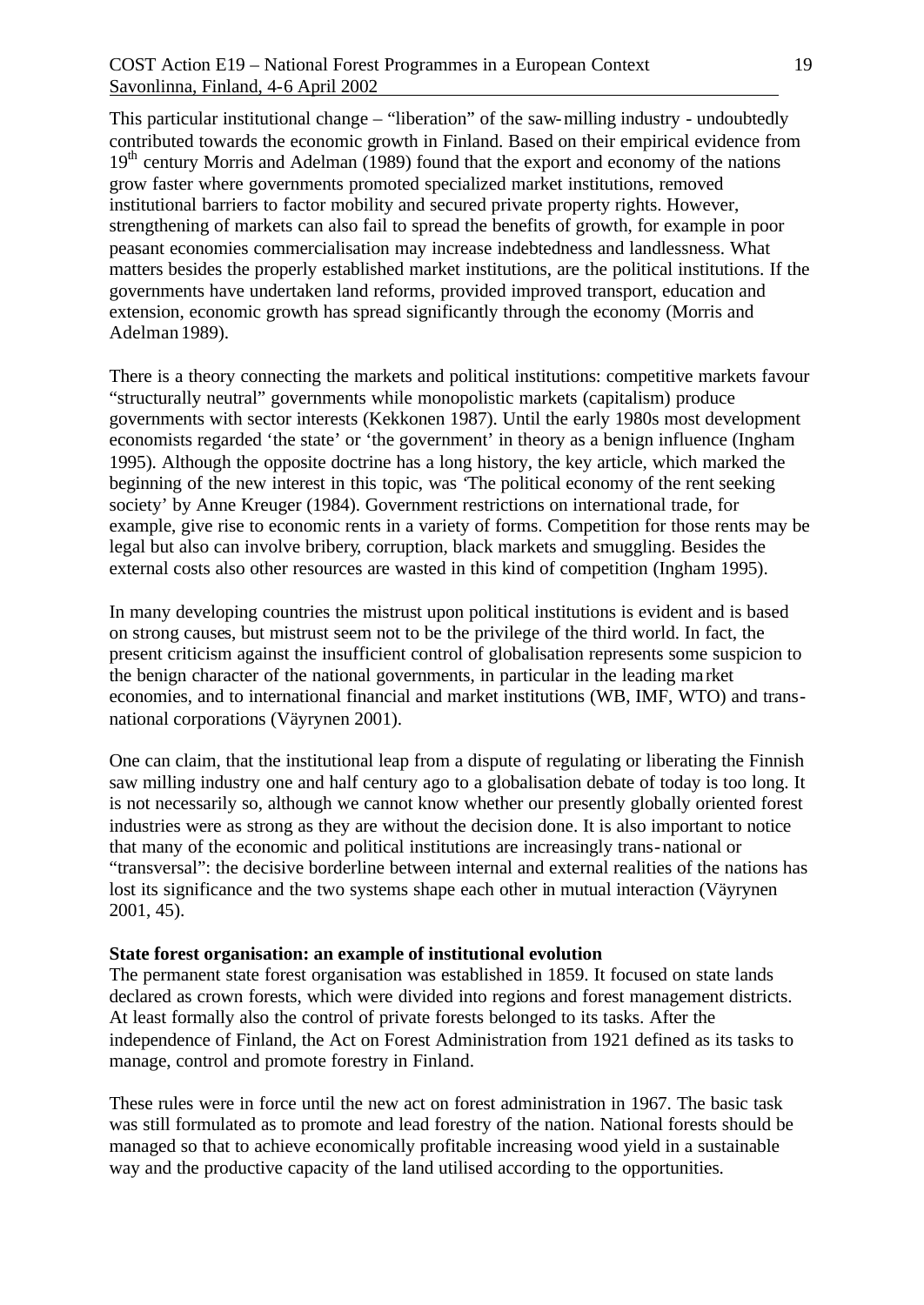This particular institutional change – "liberation" of the saw-milling industry - undoubtedly contributed towards the economic growth in Finland. Based on their empirical evidence from  $19<sup>th</sup>$  century Morris and Adelman (1989) found that the export and economy of the nations grow faster where governments promoted specialized market institutions, removed institutional barriers to factor mobility and secured private property rights. However, strengthening of markets can also fail to spread the benefits of growth, for example in poor peasant economies commercialisation may increase indebtedness and landlessness. What matters besides the properly established market institutions, are the political institutions. If the governments have undertaken land reforms, provided improved transport, education and extension, economic growth has spread significantly through the economy (Morris and Adelman 1989).

There is a theory connecting the markets and political institutions: competitive markets favour "structurally neutral" governments while monopolistic markets (capitalism) produce governments with sector interests (Kekkonen 1987). Until the early 1980s most development economists regarded 'the state' or 'the government' in theory as a benign influence (Ingham 1995). Although the opposite doctrine has a long history, the key article, which marked the beginning of the new interest in this topic, was 'The political economy of the rent seeking society' by Anne Kreuger (1984). Government restrictions on international trade, for example, give rise to economic rents in a variety of forms. Competition for those rents may be legal but also can involve bribery, corruption, black markets and smuggling. Besides the external costs also other resources are wasted in this kind of competition (Ingham 1995).

In many developing countries the mistrust upon political institutions is evident and is based on strong causes, but mistrust seem not to be the privilege of the third world. In fact, the present criticism against the insufficient control of globalisation represents some suspicion to the benign character of the national governments, in particular in the leading ma rket economies, and to international financial and market institutions (WB, IMF, WTO) and transnational corporations (Väyrynen 2001).

One can claim, that the institutional leap from a dispute of regulating or liberating the Finnish saw milling industry one and half century ago to a globalisation debate of today is too long. It is not necessarily so, although we cannot know whether our presently globally oriented forest industries were as strong as they are without the decision done. It is also important to notice that many of the economic and political institutions are increasingly trans-national or "transversal": the decisive borderline between internal and external realities of the nations has lost its significance and the two systems shape each other in mutual interaction (Väyrynen 2001, 45).

### **State forest organisation: an example of institutional evolution**

The permanent state forest organisation was established in 1859. It focused on state lands declared as crown forests, which were divided into regions and forest management districts. At least formally also the control of private forests belonged to its tasks. After the independence of Finland, the Act on Forest Administration from 1921 defined as its tasks to manage, control and promote forestry in Finland.

These rules were in force until the new act on forest administration in 1967. The basic task was still formulated as to promote and lead forestry of the nation. National forests should be managed so that to achieve economically profitable increasing wood yield in a sustainable way and the productive capacity of the land utilised according to the opportunities.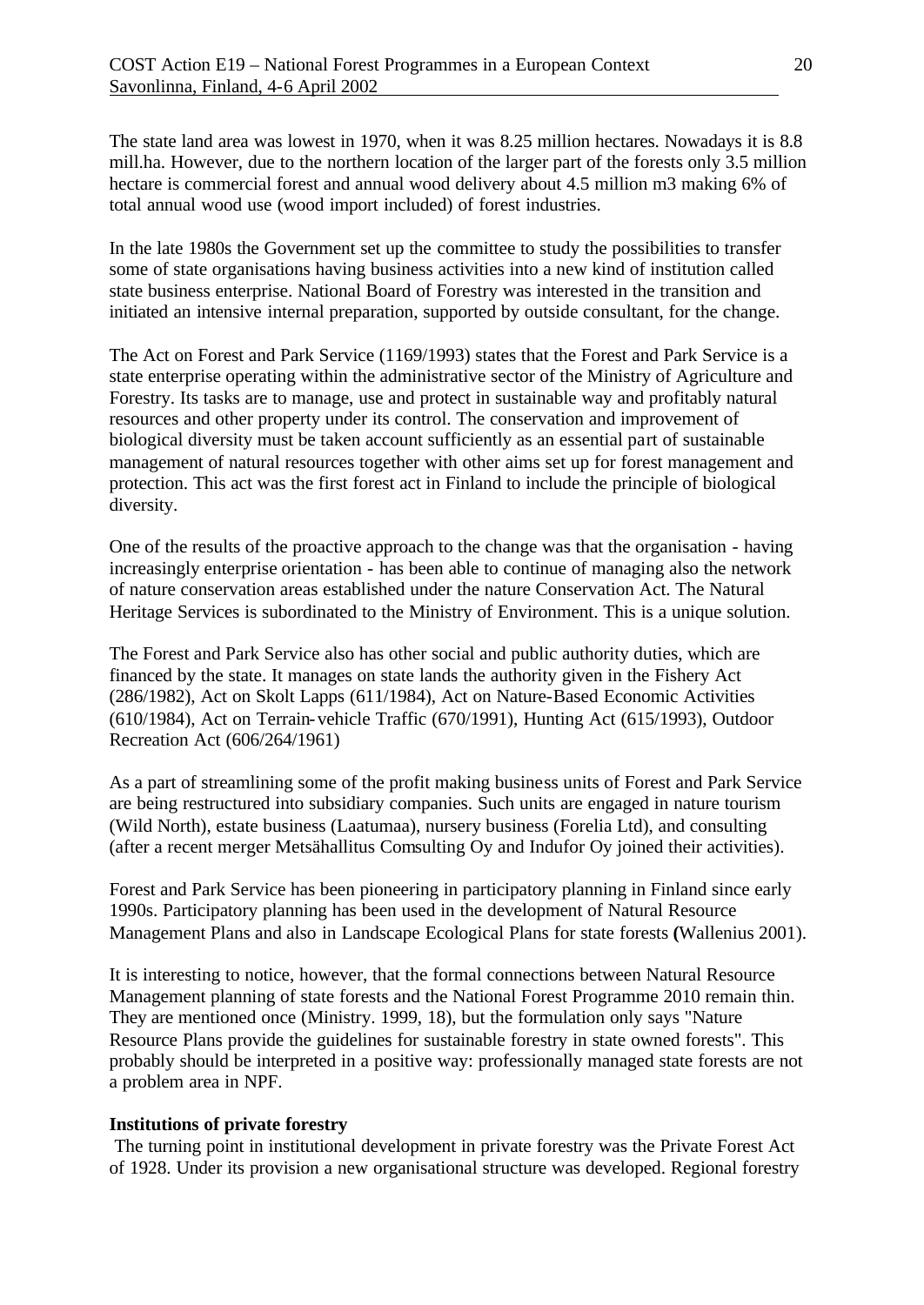The state land area was lowest in 1970, when it was 8.25 million hectares. Nowadays it is 8.8 mill.ha. However, due to the northern location of the larger part of the forests only 3.5 million hectare is commercial forest and annual wood delivery about 4.5 million m3 making 6% of total annual wood use (wood import included) of forest industries.

In the late 1980s the Government set up the committee to study the possibilities to transfer some of state organisations having business activities into a new kind of institution called state business enterprise. National Board of Forestry was interested in the transition and initiated an intensive internal preparation, supported by outside consultant, for the change.

The Act on Forest and Park Service (1169/1993) states that the Forest and Park Service is a state enterprise operating within the administrative sector of the Ministry of Agriculture and Forestry. Its tasks are to manage, use and protect in sustainable way and profitably natural resources and other property under its control. The conservation and improvement of biological diversity must be taken account sufficiently as an essential part of sustainable management of natural resources together with other aims set up for forest management and protection. This act was the first forest act in Finland to include the principle of biological diversity.

One of the results of the proactive approach to the change was that the organisation - having increasingly enterprise orientation - has been able to continue of managing also the network of nature conservation areas established under the nature Conservation Act. The Natural Heritage Services is subordinated to the Ministry of Environment. This is a unique solution.

The Forest and Park Service also has other social and public authority duties, which are financed by the state. It manages on state lands the authority given in the Fishery Act (286/1982), Act on Skolt Lapps (611/1984), Act on Nature-Based Economic Activities (610/1984), Act on Terrain-vehicle Traffic (670/1991), Hunting Act (615/1993), Outdoor Recreation Act (606/264/1961)

As a part of streamlining some of the profit making business units of Forest and Park Service are being restructured into subsidiary companies. Such units are engaged in nature tourism (Wild North), estate business (Laatumaa), nursery business (Forelia Ltd), and consulting (after a recent merger Metsähallitus Comsulting Oy and Indufor Oy joined their activities).

Forest and Park Service has been pioneering in participatory planning in Finland since early 1990s. Participatory planning has been used in the development of Natural Resource Management Plans and also in Landscape Ecological Plans for state forests **(**Wallenius 2001).

It is interesting to notice, however, that the formal connections between Natural Resource Management planning of state forests and the National Forest Programme 2010 remain thin. They are mentioned once (Ministry. 1999, 18), but the formulation only says "Nature Resource Plans provide the guidelines for sustainable forestry in state owned forests". This probably should be interpreted in a positive way: professionally managed state forests are not a problem area in NPF.

### **Institutions of private forestry**

 The turning point in institutional development in private forestry was the Private Forest Act of 1928. Under its provision a new organisational structure was developed. Regional forestry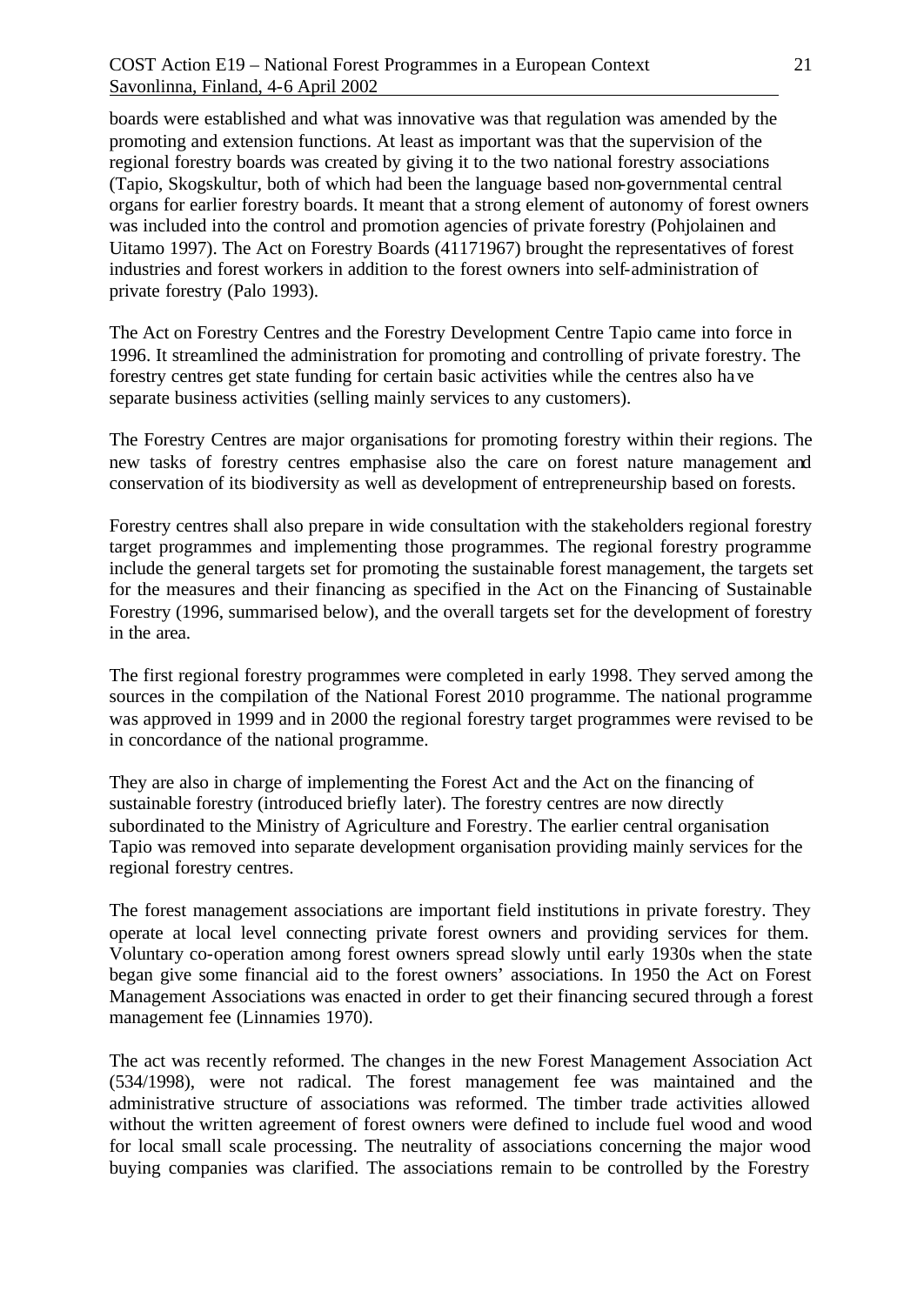boards were established and what was innovative was that regulation was amended by the promoting and extension functions. At least as important was that the supervision of the regional forestry boards was created by giving it to the two national forestry associations (Tapio, Skogskultur, both of which had been the language based non-governmental central organs for earlier forestry boards. It meant that a strong element of autonomy of forest owners was included into the control and promotion agencies of private forestry (Pohjolainen and Uitamo 1997). The Act on Forestry Boards (41171967) brought the representatives of forest industries and forest workers in addition to the forest owners into self-administration of private forestry (Palo 1993).

The Act on Forestry Centres and the Forestry Development Centre Tapio came into force in 1996. It streamlined the administration for promoting and controlling of private forestry. The forestry centres get state funding for certain basic activities while the centres also have separate business activities (selling mainly services to any customers).

The Forestry Centres are major organisations for promoting forestry within their regions. The new tasks of forestry centres emphasise also the care on forest nature management and conservation of its biodiversity as well as development of entrepreneurship based on forests.

Forestry centres shall also prepare in wide consultation with the stakeholders regional forestry target programmes and implementing those programmes. The regional forestry programme include the general targets set for promoting the sustainable forest management, the targets set for the measures and their financing as specified in the Act on the Financing of Sustainable Forestry (1996, summarised below), and the overall targets set for the development of forestry in the area.

The first regional forestry programmes were completed in early 1998. They served among the sources in the compilation of the National Forest 2010 programme. The national programme was approved in 1999 and in 2000 the regional forestry target programmes were revised to be in concordance of the national programme.

They are also in charge of implementing the Forest Act and the Act on the financing of sustainable forestry (introduced briefly later). The forestry centres are now directly subordinated to the Ministry of Agriculture and Forestry. The earlier central organisation Tapio was removed into separate development organisation providing mainly services for the regional forestry centres.

The forest management associations are important field institutions in private forestry. They operate at local level connecting private forest owners and providing services for them. Voluntary co-operation among forest owners spread slowly until early 1930s when the state began give some financial aid to the forest owners' associations. In 1950 the Act on Forest Management Associations was enacted in order to get their financing secured through a forest management fee (Linnamies 1970).

The act was recently reformed. The changes in the new Forest Management Association Act (534/1998), were not radical. The forest management fee was maintained and the administrative structure of associations was reformed. The timber trade activities allowed without the written agreement of forest owners were defined to include fuel wood and wood for local small scale processing. The neutrality of associations concerning the major wood buying companies was clarified. The associations remain to be controlled by the Forestry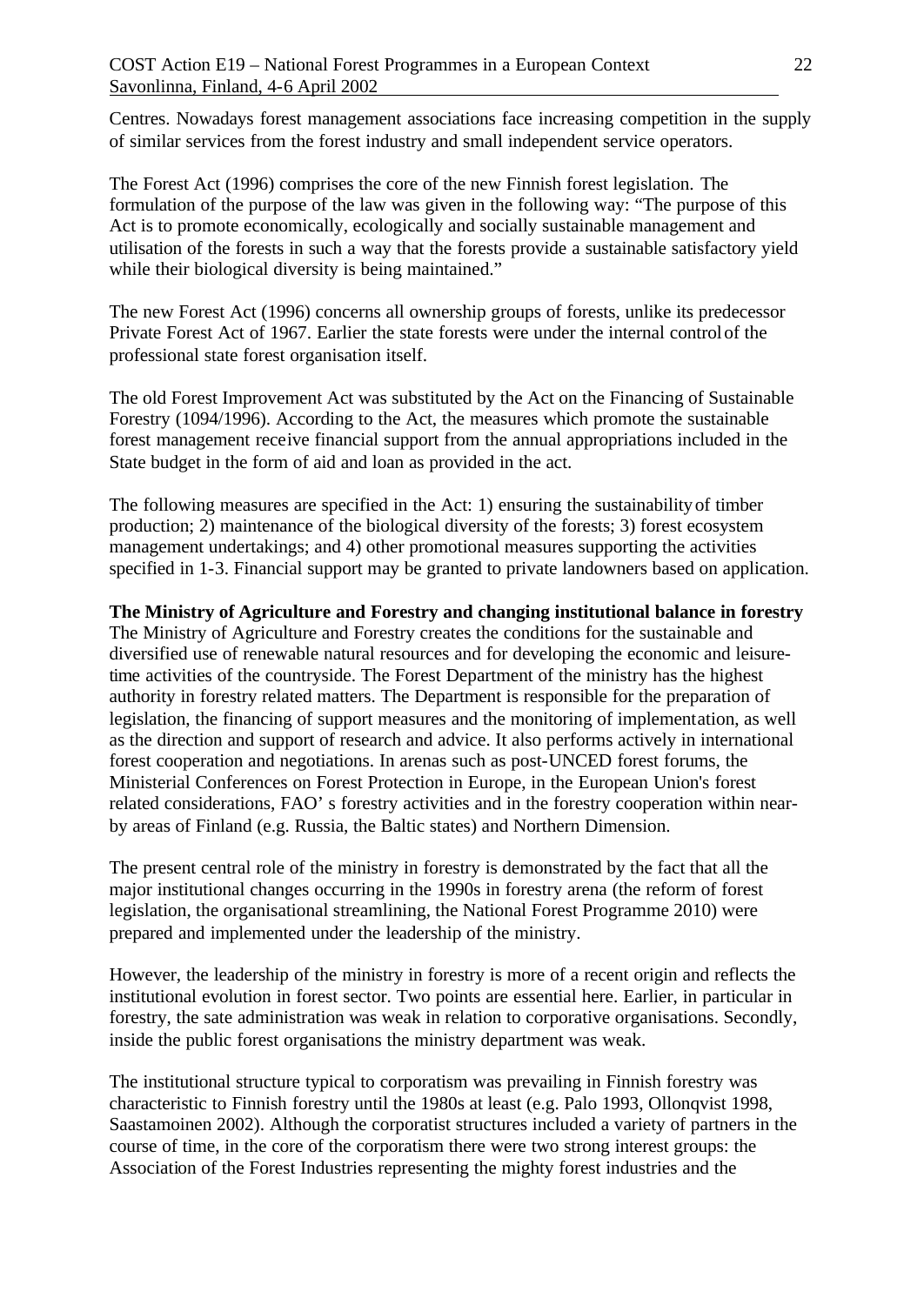Centres. Nowadays forest management associations face increasing competition in the supply of similar services from the forest industry and small independent service operators.

The Forest Act (1996) comprises the core of the new Finnish forest legislation. The formulation of the purpose of the law was given in the following way: "The purpose of this Act is to promote economically, ecologically and socially sustainable management and utilisation of the forests in such a way that the forests provide a sustainable satisfactory yield while their biological diversity is being maintained."

The new Forest Act (1996) concerns all ownership groups of forests, unlike its predecessor Private Forest Act of 1967. Earlier the state forests were under the internal control of the professional state forest organisation itself.

The old Forest Improvement Act was substituted by the Act on the Financing of Sustainable Forestry (1094/1996). According to the Act, the measures which promote the sustainable forest management receive financial support from the annual appropriations included in the State budget in the form of aid and loan as provided in the act.

The following measures are specified in the Act: 1) ensuring the sustainabilityof timber production; 2) maintenance of the biological diversity of the forests; 3) forest ecosystem management undertakings; and 4) other promotional measures supporting the activities specified in 1-3. Financial support may be granted to private landowners based on application.

### **The Ministry of Agriculture and Forestry and changing institutional balance in forestry**

The Ministry of Agriculture and Forestry creates the conditions for the sustainable and diversified use of renewable natural resources and for developing the economic and leisuretime activities of the countryside. The Forest Department of the ministry has the highest authority in forestry related matters. The Department is responsible for the preparation of legislation, the financing of support measures and the monitoring of implementation, as well as the direction and support of research and advice. It also performs actively in international forest cooperation and negotiations. In arenas such as post-UNCED forest forums, the Ministerial Conferences on Forest Protection in Europe, in the European Union's forest related considerations, FAO' s forestry activities and in the forestry cooperation within nearby areas of Finland (e.g. Russia, the Baltic states) and Northern Dimension.

The present central role of the ministry in forestry is demonstrated by the fact that all the major institutional changes occurring in the 1990s in forestry arena (the reform of forest legislation, the organisational streamlining, the National Forest Programme 2010) were prepared and implemented under the leadership of the ministry.

However, the leadership of the ministry in forestry is more of a recent origin and reflects the institutional evolution in forest sector. Two points are essential here. Earlier, in particular in forestry, the sate administration was weak in relation to corporative organisations. Secondly, inside the public forest organisations the ministry department was weak.

The institutional structure typical to corporatism was prevailing in Finnish forestry was characteristic to Finnish forestry until the 1980s at least (e.g. Palo 1993, Ollonqvist 1998, Saastamoinen 2002). Although the corporatist structures included a variety of partners in the course of time, in the core of the corporatism there were two strong interest groups: the Association of the Forest Industries representing the mighty forest industries and the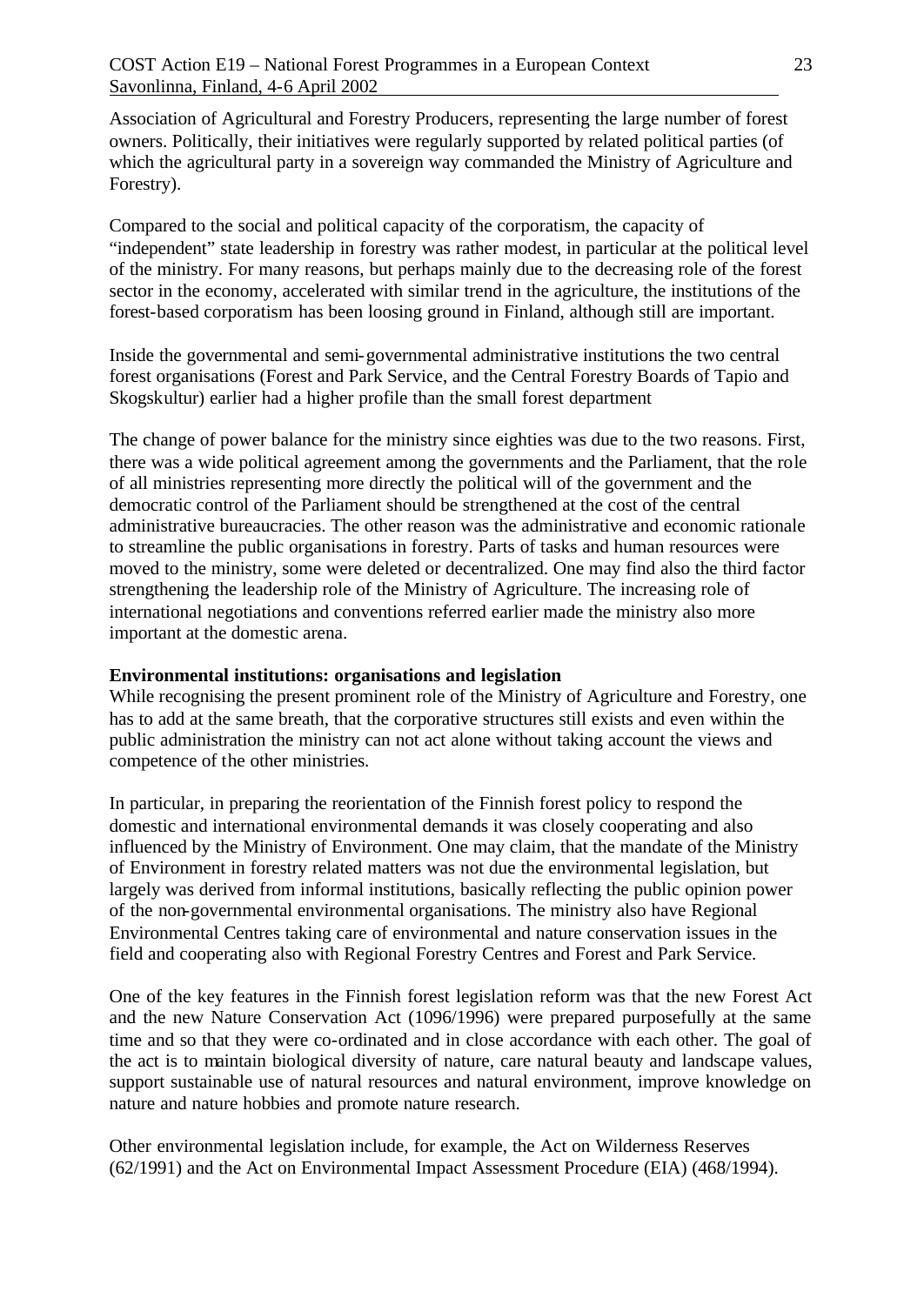Association of Agricultural and Forestry Producers, representing the large number of forest owners. Politically, their initiatives were regularly supported by related political parties (of which the agricultural party in a sovereign way commanded the Ministry of Agriculture and Forestry).

Compared to the social and political capacity of the corporatism, the capacity of "independent" state leadership in forestry was rather modest, in particular at the political level of the ministry. For many reasons, but perhaps mainly due to the decreasing role of the forest sector in the economy, accelerated with similar trend in the agriculture, the institutions of the forest-based corporatism has been loosing ground in Finland, although still are important.

Inside the governmental and semi-governmental administrative institutions the two central forest organisations (Forest and Park Service, and the Central Forestry Boards of Tapio and Skogskultur) earlier had a higher profile than the small forest department

The change of power balance for the ministry since eighties was due to the two reasons. First, there was a wide political agreement among the governments and the Parliament, that the role of all ministries representing more directly the political will of the government and the democratic control of the Parliament should be strengthened at the cost of the central administrative bureaucracies. The other reason was the administrative and economic rationale to streamline the public organisations in forestry. Parts of tasks and human resources were moved to the ministry, some were deleted or decentralized. One may find also the third factor strengthening the leadership role of the Ministry of Agriculture. The increasing role of international negotiations and conventions referred earlier made the ministry also more important at the domestic arena.

### **Environmental institutions: organisations and legislation**

While recognising the present prominent role of the Ministry of Agriculture and Forestry, one has to add at the same breath, that the corporative structures still exists and even within the public administration the ministry can not act alone without taking account the views and competence of the other ministries.

In particular, in preparing the reorientation of the Finnish forest policy to respond the domestic and international environmental demands it was closely cooperating and also influenced by the Ministry of Environment. One may claim, that the mandate of the Ministry of Environment in forestry related matters was not due the environmental legislation, but largely was derived from informal institutions, basically reflecting the public opinion power of the non-governmental environmental organisations. The ministry also have Regional Environmental Centres taking care of environmental and nature conservation issues in the field and cooperating also with Regional Forestry Centres and Forest and Park Service.

One of the key features in the Finnish forest legislation reform was that the new Forest Act and the new Nature Conservation Act (1096/1996) were prepared purposefully at the same time and so that they were co-ordinated and in close accordance with each other. The goal of the act is to maintain biological diversity of nature, care natural beauty and landscape values, support sustainable use of natural resources and natural environment, improve knowledge on nature and nature hobbies and promote nature research.

Other environmental legislation include, for example, the Act on Wilderness Reserves (62/1991) and the Act on Environmental Impact Assessment Procedure (EIA) (468/1994).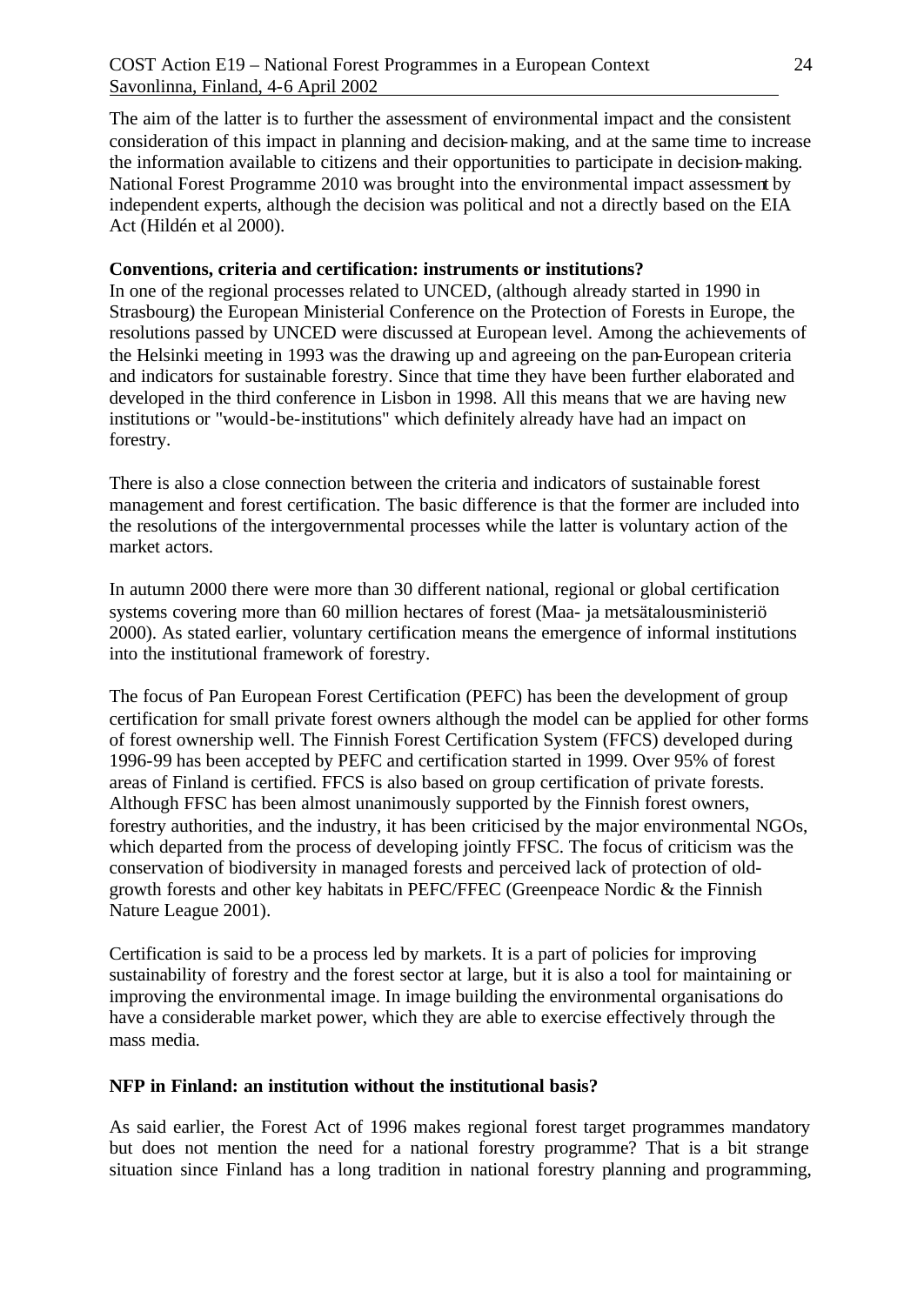The aim of the latter is to further the assessment of environmental impact and the consistent consideration of this impact in planning and decision-making, and at the same time to increase the information available to citizens and their opportunities to participate in decision-making. National Forest Programme 2010 was brought into the environmental impact assessment by independent experts, although the decision was political and not a directly based on the EIA Act (Hildén et al 2000).

### **Conventions, criteria and certification: instruments or institutions?**

In one of the regional processes related to UNCED, (although already started in 1990 in Strasbourg) the European Ministerial Conference on the Protection of Forests in Europe, the resolutions passed by UNCED were discussed at European level. Among the achievements of the Helsinki meeting in 1993 was the drawing up and agreeing on the pan-European criteria and indicators for sustainable forestry. Since that time they have been further elaborated and developed in the third conference in Lisbon in 1998. All this means that we are having new institutions or "would-be-institutions" which definitely already have had an impact on forestry.

There is also a close connection between the criteria and indicators of sustainable forest management and forest certification. The basic difference is that the former are included into the resolutions of the intergovernmental processes while the latter is voluntary action of the market actors.

In autumn 2000 there were more than 30 different national, regional or global certification systems covering more than 60 million hectares of forest (Maa- ja metsätalousministeriö 2000). As stated earlier, voluntary certification means the emergence of informal institutions into the institutional framework of forestry.

The focus of Pan European Forest Certification (PEFC) has been the development of group certification for small private forest owners although the model can be applied for other forms of forest ownership well. The Finnish Forest Certification System (FFCS) developed during 1996-99 has been accepted by PEFC and certification started in 1999. Over 95% of forest areas of Finland is certified. FFCS is also based on group certification of private forests. Although FFSC has been almost unanimously supported by the Finnish forest owners, forestry authorities, and the industry, it has been criticised by the major environmental NGOs, which departed from the process of developing jointly FFSC. The focus of criticism was the conservation of biodiversity in managed forests and perceived lack of protection of oldgrowth forests and other key habitats in PEFC/FFEC (Greenpeace Nordic & the Finnish Nature League 2001).

Certification is said to be a process led by markets. It is a part of policies for improving sustainability of forestry and the forest sector at large, but it is also a tool for maintaining or improving the environmental image. In image building the environmental organisations do have a considerable market power, which they are able to exercise effectively through the mass media.

### **NFP in Finland: an institution without the institutional basis?**

As said earlier, the Forest Act of 1996 makes regional forest target programmes mandatory but does not mention the need for a national forestry programme? That is a bit strange situation since Finland has a long tradition in national forestry planning and programming,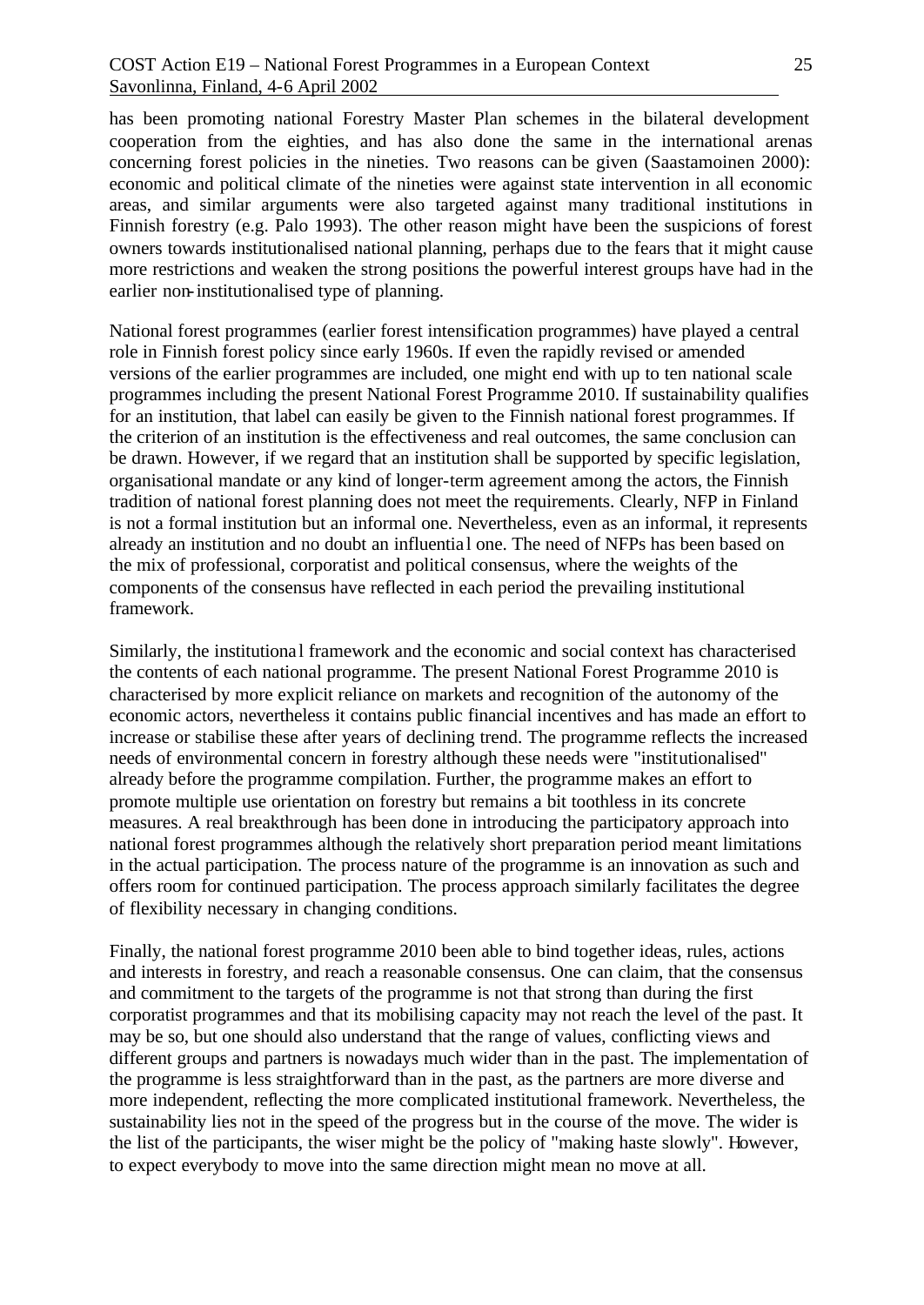has been promoting national Forestry Master Plan schemes in the bilateral development cooperation from the eighties, and has also done the same in the international arenas concerning forest policies in the nineties. Two reasons can be given (Saastamoinen 2000): economic and political climate of the nineties were against state intervention in all economic areas, and similar arguments were also targeted against many traditional institutions in Finnish forestry (e.g. Palo 1993). The other reason might have been the suspicions of forest owners towards institutionalised national planning, perhaps due to the fears that it might cause more restrictions and weaken the strong positions the powerful interest groups have had in the earlier non-institutionalised type of planning.

National forest programmes (earlier forest intensification programmes) have played a central role in Finnish forest policy since early 1960s. If even the rapidly revised or amended versions of the earlier programmes are included, one might end with up to ten national scale programmes including the present National Forest Programme 2010. If sustainability qualifies for an institution, that label can easily be given to the Finnish national forest programmes. If the criterion of an institution is the effectiveness and real outcomes, the same conclusion can be drawn. However, if we regard that an institution shall be supported by specific legislation, organisational mandate or any kind of longer-term agreement among the actors, the Finnish tradition of national forest planning does not meet the requirements. Clearly, NFP in Finland is not a formal institution but an informal one. Nevertheless, even as an informal, it represents already an institution and no doubt an influentia l one. The need of NFPs has been based on the mix of professional, corporatist and political consensus, where the weights of the components of the consensus have reflected in each period the prevailing institutional framework.

Similarly, the institutiona l framework and the economic and social context has characterised the contents of each national programme. The present National Forest Programme 2010 is characterised by more explicit reliance on markets and recognition of the autonomy of the economic actors, nevertheless it contains public financial incentives and has made an effort to increase or stabilise these after years of declining trend. The programme reflects the increased needs of environmental concern in forestry although these needs were "institutionalised" already before the programme compilation. Further, the programme makes an effort to promote multiple use orientation on forestry but remains a bit toothless in its concrete measures. A real breakthrough has been done in introducing the participatory approach into national forest programmes although the relatively short preparation period meant limitations in the actual participation. The process nature of the programme is an innovation as such and offers room for continued participation. The process approach similarly facilitates the degree of flexibility necessary in changing conditions.

Finally, the national forest programme 2010 been able to bind together ideas, rules, actions and interests in forestry, and reach a reasonable consensus. One can claim, that the consensus and commitment to the targets of the programme is not that strong than during the first corporatist programmes and that its mobilising capacity may not reach the level of the past. It may be so, but one should also understand that the range of values, conflicting views and different groups and partners is nowadays much wider than in the past. The implementation of the programme is less straightforward than in the past, as the partners are more diverse and more independent, reflecting the more complicated institutional framework. Nevertheless, the sustainability lies not in the speed of the progress but in the course of the move. The wider is the list of the participants, the wiser might be the policy of "making haste slowly". However, to expect everybody to move into the same direction might mean no move at all.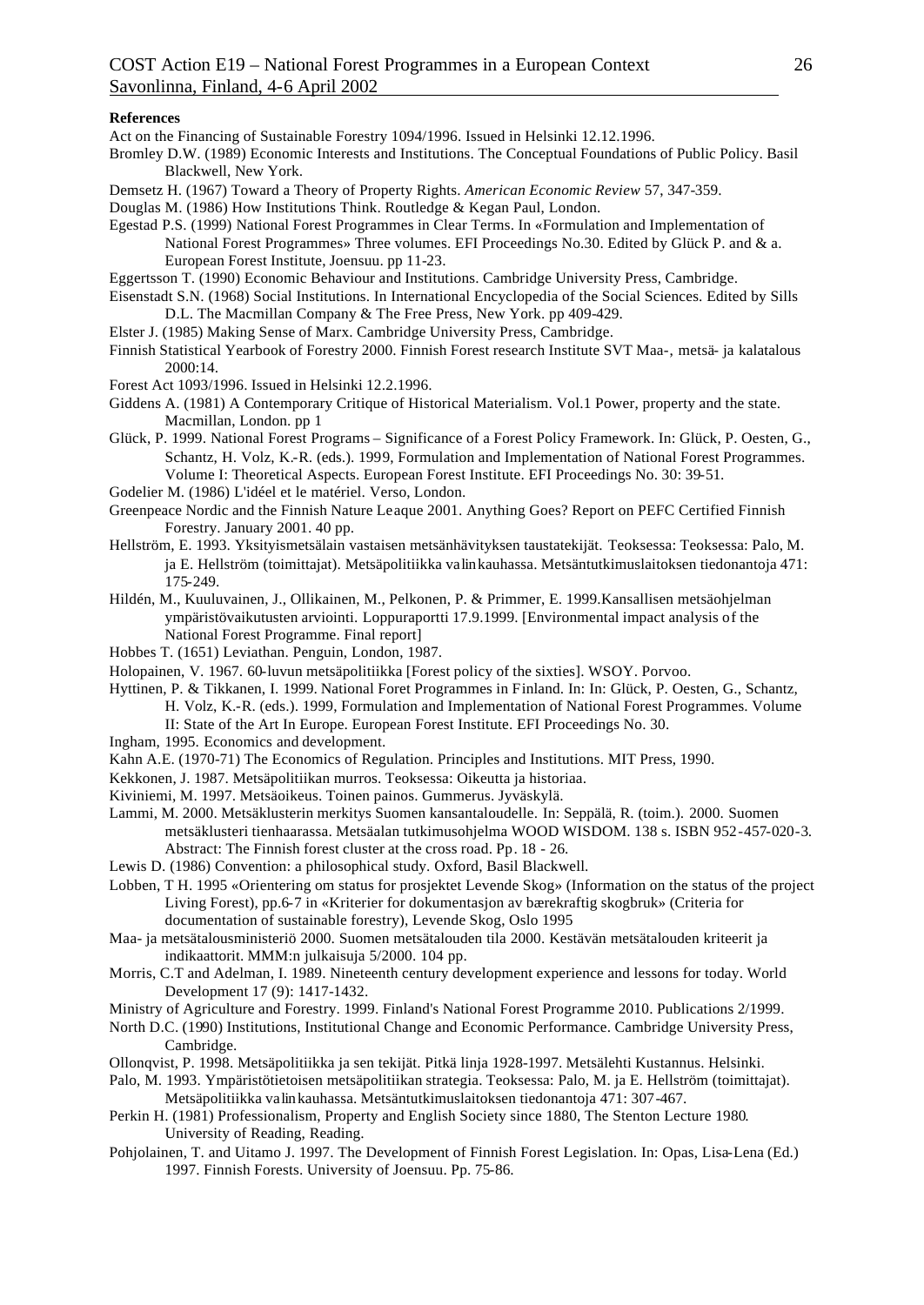#### **References**

- Act on the Financing of Sustainable Forestry 1094/1996. Issued in Helsinki 12.12.1996.
- Bromley D.W. (1989) Economic Interests and Institutions. The Conceptual Foundations of Public Policy. Basil Blackwell, New York.
- Demsetz H. (1967) Toward a Theory of Property Rights. *American Economic Review* 57, 347-359.
- Douglas M. (1986) How Institutions Think. Routledge & Kegan Paul, London.
- Egestad P.S. (1999) National Forest Programmes in Clear Terms. In «Formulation and Implementation of National Forest Programmes» Three volumes. EFI Proceedings No.30. Edited by Glück P. and & a. European Forest Institute, Joensuu. pp 11-23.
- Eggertsson T. (1990) Economic Behaviour and Institutions. Cambridge University Press, Cambridge.
- Eisenstadt S.N. (1968) Social Institutions. In International Encyclopedia of the Social Sciences. Edited by Sills D.L. The Macmillan Company & The Free Press, New York. pp 409-429.
- Elster J. (1985) Making Sense of Marx. Cambridge University Press, Cambridge.
- Finnish Statistical Yearbook of Forestry 2000. Finnish Forest research Institute SVT Maa-, metsä- ja kalatalous 2000:14.
- Forest Act 1093/1996. Issued in Helsinki 12.2.1996.
- Giddens A. (1981) A Contemporary Critique of Historical Materialism. Vol.1 Power, property and the state. Macmillan, London. pp 1
- Glück, P. 1999. National Forest Programs Significance of a Forest Policy Framework. In: Glück, P. Oesten, G., Schantz, H. Volz, K.-R. (eds.). 1999, Formulation and Implementation of National Forest Programmes. Volume I: Theoretical Aspects. European Forest Institute. EFI Proceedings No. 30: 39-51.
- Godelier M. (1986) L'idéel et le matériel. Verso, London.
- Greenpeace Nordic and the Finnish Nature Leaque 2001. Anything Goes? Report on PEFC Certified Finnish Forestry. January 2001. 40 pp.
- Hellström, E. 1993. Yksityismetsälain vastaisen metsänhävityksen taustatekijät. Teoksessa: Teoksessa: Palo, M. ja E. Hellström (toimittajat). Metsäpolitiikka valinkauhassa. Metsäntutkimuslaitoksen tiedonantoja 471: 175-249.
- Hildén, M., Kuuluvainen, J., Ollikainen, M., Pelkonen, P. & Primmer, E. 1999.Kansallisen metsäohjelman ympäristövaikutusten arviointi. Loppuraportti 17.9.1999. [Environmental impact analysis of the National Forest Programme. Final report]
- Hobbes T. (1651) Leviathan. Penguin, London, 1987.
- Holopainen, V. 1967. 60-luvun metsäpolitiikka [Forest policy of the sixties]. WSOY. Porvoo.
- Hyttinen, P. & Tikkanen, I. 1999. National Foret Programmes in Finland. In: In: Glück, P. Oesten, G., Schantz, H. Volz, K.-R. (eds.). 1999, Formulation and Implementation of National Forest Programmes. Volume II: State of the Art In Europe. European Forest Institute. EFI Proceedings No. 30.
- Ingham, 1995. Economics and development.
- Kahn A.E. (1970-71) The Economics of Regulation. Principles and Institutions. MIT Press, 1990.
- Kekkonen, J. 1987. Metsäpolitiikan murros. Teoksessa: Oikeutta ja historiaa.
- Kiviniemi, M. 1997. Metsäoikeus. Toinen painos. Gummerus. Jyväskylä.
- Lammi, M. 2000. Metsäklusterin merkitys Suomen kansantaloudelle. In: Seppälä, R. (toim.). 2000. Suomen metsäklusteri tienhaarassa. Metsäalan tutkimusohjelma WOOD WISDOM. 138 s. ISBN 952-457-020-3. Abstract: The Finnish forest cluster at the cross road. Pp. 18 - 26.
- Lewis D. (1986) Convention: a philosophical study. Oxford, Basil Blackwell.
- Lobben, T H. 1995 «Orientering om status for prosjektet Levende Skog» (Information on the status of the project Living Forest), pp.6-7 in «Kriterier for dokumentasjon av bærekraftig skogbruk» (Criteria for documentation of sustainable forestry), Levende Skog, Oslo 1995
- Maa- ja metsätalousministeriö 2000. Suomen metsätalouden tila 2000. Kestävän metsätalouden kriteerit ja indikaattorit. MMM:n julkaisuja 5/2000. 104 pp.
- Morris, C.T and Adelman, I. 1989. Nineteenth century development experience and lessons for today. World Development 17 (9): 1417-1432.
- Ministry of Agriculture and Forestry. 1999. Finland's National Forest Programme 2010. Publications 2/1999.
- North D.C. (1990) Institutions, Institutional Change and Economic Performance. Cambridge University Press, Cambridge.
- Ollonqvist, P. 1998. Metsäpolitiikka ja sen tekijät. Pitkä linja 1928-1997. Metsälehti Kustannus. Helsinki.
- Palo, M. 1993. Ympäristötietoisen metsäpolitiikan strategia. Teoksessa: Palo, M. ja E. Hellström (toimittajat). Metsäpolitiikka valinkauhassa. Metsäntutkimuslaitoksen tiedonantoja 471: 307-467.
- Perkin H. (1981) Professionalism, Property and English Society since 1880, The Stenton Lecture 1980. University of Reading, Reading.
- Pohjolainen, T. and Uitamo J. 1997. The Development of Finnish Forest Legislation. In: Opas, Lisa-Lena (Ed.) 1997. Finnish Forests. University of Joensuu. Pp. 75-86.